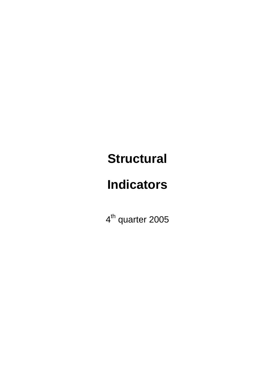# **Structural**

# **Indicators**

4<sup>th</sup> quarter 2005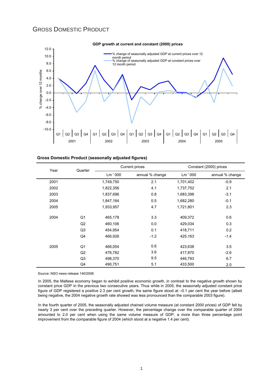# GROSS DOMESTIC PRODUCT



| <b>Gross Domestic Product (seasonally adjusted figures)</b> |  |  |  |
|-------------------------------------------------------------|--|--|--|
|-------------------------------------------------------------|--|--|--|

| Year | Quarter        |           | <b>Current prices</b> | Constant (2000) prices |                 |  |
|------|----------------|-----------|-----------------------|------------------------|-----------------|--|
|      |                | Lm ' 000  | annual % change       | Lm ' 000               | annual % change |  |
| 2001 |                | 1,749,750 | 2.1                   | 1,701,402              | $-0.9$          |  |
| 2002 |                | 1,822,356 | 4.1                   | 1,737,752              | 2.1             |  |
| 2003 |                | 1,837,696 | 0.8                   | 1,683,396              | $-3.1$          |  |
| 2004 |                | 1,847,164 | 0.5                   | 1,682,280              | $-0.1$          |  |
| 2005 |                | 1,933,957 | 4.7                   | 1,721,801              | 2.3             |  |
| 2004 | Q1             | 465,178   | 3.3                   | 409,372                | 0.6             |  |
|      | Q <sub>2</sub> | 460,106   | 0.0                   | 429,034                | 0.3             |  |
|      | Q <sub>3</sub> | 454,954   | 0.1                   | 418,711                | 0.2             |  |
|      | Q4             | 466,926   | $-1.2$                | 425,163                | $-1.4$          |  |
| 2005 | Q <sub>1</sub> | 468,054   | 0.6                   | 423,638                | 3.5             |  |
|      | Q2             | 476,782   | 3.6                   | 417,870                | $-2.6$          |  |
|      | Q <sub>3</sub> | 498,370   | 9.5                   | 446,793                | 6.7             |  |
|      | Q4             | 490,751   | 5.1                   | 433,500                | 2.0             |  |

Source: NSO news release 140/2006

In 2005, the Maltese economy began to exhibit positive economic growth, in contrast to the negative growth shown by constant price GDP in the previous two consecutive years. Thus while in 2005, the seasonally adjusted constant price figure of GDP registered a positive 2.3 per cent growth, the same figure stood at –0.1 per cent the year before (albeit being negative, the 2004 negative growth rate showed was less pronounced than the comparable 2003 figure).

In the fourth quarter of 2005, the seasonally adjusted chained volume measure (at constant 2000 prices) of GDP fell by nearly 3 per cent over the preceding quarter. However, the percentage change over the comparable quarter of 2004 amounted to 2.0 per cent when using the same volume measure of GDP, a more than three percentage point improvement from the comparable figure of 2004 (which stood at a negative 1.4 per cent).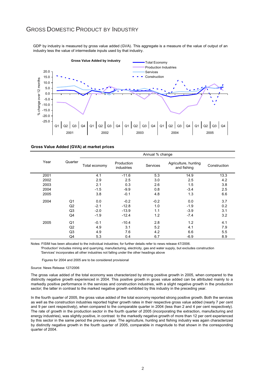## GROSS DOMESTIC PRODUCT BY INDUSTRY

GDP by industry is measured by gross value added (GVA). This aggregate is a measure of the value of output of an industry less the value of intermediate inputs used by that industry.



|      |                |               |                          | Annual % change |                                     |              |
|------|----------------|---------------|--------------------------|-----------------|-------------------------------------|--------------|
| Year | Quarter        | Total economy | Production<br>industries | <b>Services</b> | Agriculture, hunting<br>and fishing | Construction |
| 2001 |                | 4.1           | $-11.6$                  | 5.3             | 14.9                                | 13.3         |
| 2002 |                | 2.9           | 2.5                      | 3.0             | 2.5                                 | 4.2          |
| 2003 |                | 2.1           | 0.3                      | 2.6             | 1.5                                 | 3.8          |
| 2004 |                | $-1.5$        | $-9.9$                   | 0.8             | $-3.4$                              | 2.5          |
| 2005 |                | 3.8           | $-0.1$                   | 4.8             | 1.3                                 | 6.6          |
| 2004 | Q1             | 0.0           | $-0.2$                   | $-0.2$          | 0.0                                 | 3.7          |
|      | Q <sub>2</sub> | $-2.1$        | $-12.8$                  | 1.0             | $-1.9$                              | 0.2          |
|      | Q3             | $-2.0$        | $-13.9$                  | 1.1             | $-3.9$                              | 3.1          |
|      | Q4             | $-1.9$        | $-12.4$                  | 1.2             | $-7.4$                              | 3.2          |
| 2005 | Q1             | $-0.1$        | $-10.4$                  | 2.8             | 1.2                                 | 4.1          |
|      | Q <sub>2</sub> | 4.9           | 3.1                      | 5.2             | 4.1                                 | 7.9          |
|      | Q3             | 4.9           | 7.6                      | 4.2             | 6.6                                 | 5.5          |
|      | Q4             | 5.3           | 0.4                      | 6.7             | $-6.9$                              | 8.9          |

Notes: FISIM has been allocated to the individual industries; for further details refer to news release 47/2006.

 'Production' includes mining and quarrying, manufacturing, electricity, gas and water supply, but excludes construction 'Services' incorporates all other industries not falling under the other headings above

Figures for 2004 and 2005 are to be considered provisional

#### Source: News Release 127/2006

The gross value added of the total economy was characterized by strong positive growth in 2005, when compared to the distinctly negative growth experienced in 2004. This positive growth in gross value added can be attributed mainly to a markedly positive performance in the services and construction industries, with a slight negative growth in the production sector; the latter in contrast to the marked negative growth exhibited by this industry in the preceding year.

In the fourth quarter of 2005, the gross value added of the total economy reported strong positive growth. Both the services as well as the construction industries reported higher growth rates in their respective gross value added (nearly 7 per cent and 9 per cent respectively), when compared to the comparable quarter in 2004 (less than 2 and 4 per cent respectively). The rate of growth in the production sector in the fourth quarter of 2005 (incorporating the extraction, manufacturing and energy industries), was slightly positive, in contrast to the markedly negative growth of more than 12 per cent experienced by this sector in the same period the previous year. The agriculture, hunting and fishing industry was again characterized by distinctly negative growth in the fourth quarter of 2005, comparable in magnitude to that shown in the corresponding quarter of 2004.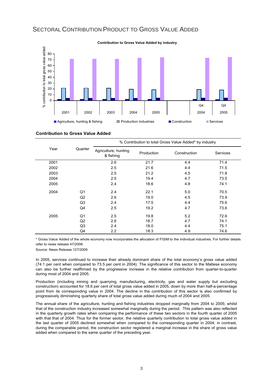# SECTORAL CONTRIBUTION PRODUCT TO GROSS VALUE ADDED



## **Contribution to Gross Value Added**

|      |                | % Contribution to total Gross Value Added* by industry |            |              |          |  |  |  |  |
|------|----------------|--------------------------------------------------------|------------|--------------|----------|--|--|--|--|
| Year | Quarter        | Agriculture, hunting<br>& fishing                      | Production | Construction | Services |  |  |  |  |
| 2001 |                | 2.6                                                    | 21.7       | 4.4          | 71.4     |  |  |  |  |
| 2002 |                | 2.5                                                    | 21.6       | 4.4          | 71.5     |  |  |  |  |
| 2003 |                | 2.5                                                    | 21.2       | 4.5          | 71.8     |  |  |  |  |
| 2004 |                | 2.5                                                    | 19.4       | 4.7          | 73.5     |  |  |  |  |
| 2005 |                | 2.4                                                    | 18.6       | 4.8          | 74.1     |  |  |  |  |
| 2004 | Q1             | 2.4                                                    | 22.1       | 5.0          | 70.5     |  |  |  |  |
|      | Q2             | 2.6                                                    | 19.0       | 4.5          | 73.9     |  |  |  |  |
|      | Q <sub>3</sub> | 2.4                                                    | 17.5       | 4.4          | 75.6     |  |  |  |  |
|      | Q4             | 2.5                                                    | 19.2       | 4.7          | 73.6     |  |  |  |  |
| 2005 | Q1             | 2.5                                                    | 19.8       | 5.2          | 72.6     |  |  |  |  |
|      | Q2             | 2.6                                                    | 18.7       | 4.7          | 74.1     |  |  |  |  |
|      | Q <sub>3</sub> | 2.4                                                    | 18.0       | 4.4          | 75.1     |  |  |  |  |
|      | Q4             | 2.2                                                    | 18.3       | 4.9          | 74.6     |  |  |  |  |

\* Gross Value Added of the whole economy now incorporates the allocation of FISIM to the individual industries. For further details refer to news release 47/2006.

Source: News Release 127/2006

In 2005, services continued to increase their already dominant share of the total economy's gross value added (74.1 per cent when compared to 73.5 per cent in 2004). The significance of this sector to the Maltese economy can also be further reaffirmed by the progressive increase in the relative contribution from quarter-to-quarter during most of 2004 and 2005.

Production (including mining and quarrying, manufacturing, electricity, gas and water supply but excluding construction) accounted for 18.6 per cent of total gross value added in 2005, down by more than half-a-percentage point from its corresponding value in 2004. The decline in the contribution of this sector is also confirmed by progressively diminishing quarterly share of total gross value added during much of 2004 and 2005.

The annual share of the agriculture, hunting and fishing industries dropped marginally from 2004 to 2005; whilst that of the construction industry increased somewhat marginally during the period. This pattern was also reflected in the quarterly growth rates when comparing the performance of these two sectors in the fourth quarter of 2005 with that that of 2004. Thus for the former sector, the relative quarterly contribution to total gross value added in the last quarter of 2005 declined somewhat when compared to the corresponding quarter in 2004; in contrast, during the comparable period, the construction sector registered a marginal increase in the share of gross value added when compared to the same quarter of the preceding year.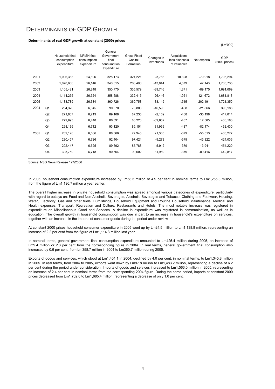## DETERMINANTS OF GDP GROWTH

#### **Determinants of real GDP growth at constant (2000) prices**

|      |                | Household final<br>consumption<br>expenditure | <b>NPISH</b> final<br>consumption<br>expenditure | General<br>Government<br>final<br>consumption<br>expenditure | <b>Gross Fixed</b><br>Capital<br>Formation | Changes in<br>inventories | Acquisitions<br>less disposals<br>of valuables | Net exports | GDP<br>(2000 prices) |
|------|----------------|-----------------------------------------------|--------------------------------------------------|--------------------------------------------------------------|--------------------------------------------|---------------------------|------------------------------------------------|-------------|----------------------|
| 2001 |                | 1,096,383                                     | 24,896                                           | 328,173                                                      | 321,221                                    | $-3,788$                  | 10,328                                         | $-70,918$   | 1,706,294            |
| 2002 |                | 1,070,606                                     | 26,146                                           | 340,615                                                      | 260,490                                    | $-13,844$                 | 4,579                                          | 47,143      | 1,735,735            |
| 2003 |                | 1,105,421                                     | 26,848                                           | 350,770                                                      | 335,579                                    | $-39,746$                 | 1,371                                          | $-89,175$   | 1,691,069            |
| 2004 |                | 1,114,255                                     | 26,524                                           | 358,688                                                      | 332,415                                    | $-26,446$                 | $-1,951$                                       | $-121,672$  | 1,681,813            |
| 2005 |                | 1,138,789                                     | 26,634                                           | 360,726                                                      | 360,758                                    | 38,149                    | $-1,515$                                       | $-202,191$  | 1,721,350            |
| 2004 | Q <sub>1</sub> | 264,320                                       | 6,645                                            | 90,370                                                       | 73,803                                     | $-16,595$                 | $-488$                                         | $-21,866$   | 396,188              |
|      | Q <sub>2</sub> | 271,807                                       | 6,719                                            | 89,108                                                       | 87,235                                     | $-2,169$                  | $-488$                                         | $-35,198$   | 417,014              |
|      | Q3             | 279,993                                       | 6,448                                            | 86,091                                                       | 86,223                                     | $-39,652$                 | $-487$                                         | 17,565      | 436,180              |
|      | Q4             | 298,136                                       | 6,712                                            | 93,120                                                       | 85,154                                     | 31,969                    | $-487$                                         | $-82,174$   | 432,430              |
| 2005 | Q <sub>1</sub> | 262,126                                       | 6,666                                            | 88,066                                                       | 77,945                                     | 21,365                    | $-379$                                         | $-55,513$   | 400,277              |
|      | Q <sub>2</sub> | 280,457                                       | 6,726                                            | 92,404                                                       | 97,424                                     | $-9,273$                  | $-379$                                         | $-43,322$   | 424,036              |
|      | Q3             | 292,447                                       | 6,525                                            | 89,692                                                       | 85,788                                     | $-5,912$                  | $-379$                                         | $-13,941$   | 454,220              |
|      | Q4             | 303,759                                       | 6,718                                            | 90,564                                                       | 99,602                                     | 31,969                    | $-379$                                         | $-89.416$   | 442,817              |
|      |                |                                               |                                                  |                                                              |                                            |                           |                                                |             |                      |

(Lm'000)

Source: NSO News Release 127/2006

In 2005, household consumption expenditure increased by Lm58.5 million or 4.9 per cent in nominal terms to Lm1,255.3 million, from the figure of Lm1,196.7 million a year earlier.

The overall higher increase in private household consumption was spread amongst various categories of expenditure, particularly with regard to outlays on: Food and Non-Alcoholic Beverages, Alcoholic Beverages and Tobacco, Clothing and Footwear, Housing, Water, Electricity, Gas and other fuels, Furnishings, Household Equipment and Routine Household Maintenance, Medical and Health expenses, Transport, Recreation and Culture, Restaurants and Hotels. The most notable increase was registered in expenditure on Miscellaneous Good and Services. A decline in expenditure was registered in communication, as well as in education. The overall growth in household consumption was due in part to an increase in household's expenditure on services, together with an increase in the imports of consumer goods during the period under review

At constant 2000 prices household consumer expenditure in 2005 went up by Lm24.5 million to Lm1,138.8 million, representing an increase of 2.2 per cent from the figure of Lm1,114.3 million last year.

In nominal terms, general government final consumption expenditure amounted to Lm425.4 million during 2005, an increase of Lm9.4 million or 2.3 per cent from the corresponding figure in 2004. In real terms, general government final consumption also increased by 0.6 per cent, from Lm358.7 million in 2004 to Lm360.7 million during 2005.

Exports of goods and services, which stood at Lm1,401.1 in 2004, declined by 4.0 per cent, in nominal terms, to Lm1,345.8 million in 2005. In real terms, from 2004 to 2005, exports went down by Lm97.8 million to Lm1,483.2 million, representing a decline of 6.2 per cent during the period under consideration. Imports of goods and services increased to Lm1,566.0 million in 2005, representing an increase of 2.4 per cent in nominal terms from the corresponding 2004 figure. During the same period, imports at constant 2000 prices decreased from Lm1,702.6 to Lm1,685.4 million, representing a decrease of only 1.0 per cent.

 $\Delta$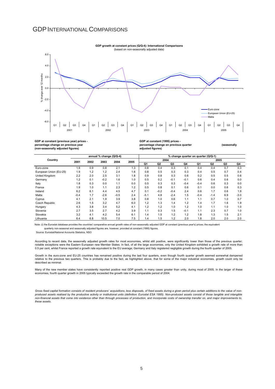## GDPINTERNATIONALCOMPARISONS



#### **GDP at constant (previous year) prices percentage change on previous year (non-seasonally adjusted figures)**

#### **GDP at constant (1995) prices percentage change on previous quarter and in the change on previous quarter change of the seasonally adjusted figures)**

|                        | annual % change (Q/Q-4) |      |        |        |      | % change quarter on quarter (Q/Q-1) |                |        |        |        |        |                |        |
|------------------------|-------------------------|------|--------|--------|------|-------------------------------------|----------------|--------|--------|--------|--------|----------------|--------|
| Country                | 2001                    | 2002 | 2003   | 2004   | 2005 | 2004                                |                |        |        | 2005   |        |                |        |
|                        |                         |      |        |        |      | Q <sub>1</sub>                      | Q <sub>2</sub> | Q3     | Q4     | Q1     | Q2     | Q <sub>3</sub> | Q4     |
| Euro-zone              | 1.9                     | 0.9  | 0.8    | 2.1    | 1.3  | 0.8                                 | 0.4            | 0.3    | 0.1    | 0.4    | 0.4    | 0.7            | 0.3    |
| European Union (EU-25) | 1.9                     | 1.2  | 1.2    | 2.4    | 1.6  | 0.8                                 | 0.5            | 0.3    | 0.3    | 0.4    | 0.5    | 0.7            | 0.4    |
| United Kinadom         | 2.2                     | 2.0  | 2.5    | 3.1    | 1.8  | 0.9                                 | 0.8            | 0.3    | 0.6    | 0.2    | 0.5    | 0.5            | 0.6    |
| Germany                | 1.2                     | 0.1  | $-0.2$ | 1.6    | 1.0  | 0.5                                 | 0.2            | $-0.1$ | $-0.1$ | 0.6    | 0.4    | 0.6            | 0.0    |
| Italy                  | 1.8                     | 0.3  | 0.0    | 1.1    | 0.0  | 0.5                                 | 0.3            | 0.3    | $-0.4$ | $-0.4$ | 0.6    | 0.3            | 0.0    |
| France                 | 1.9                     | 1.0  | 1.1    | 2.3    | 1.2  | 0.5                                 | 0.8            | 0.1    | 0.6    | 0.1    | 0.0    | 0.6            | 0.3    |
| Ireland                | 6.2                     | 6.1  | 4.4    | 4.5    | 4.7  | 0.1                                 | $-0.2$         | $-0.4$ | 2.4    | 0.6    | 1.7    | 0.6            | 1.9    |
| Malta                  | $-0.4$                  | 1.7  | $-2.6$ | $-0.5$ | 2.4  | $-5.1$                              | 4.8            | $-2.4$ | 1.5    | $-0.4$ | $-1.4$ | 6.9            | $-3.0$ |
| Cyprus                 | 4.1                     | 2.1  | 1.9    | 3.9    | 3.8  | 0.8                                 | 1.0            | 0.6    | 1.1    | 1.1    | 0.7    | 1.0            | 0.7    |
| Czech Republic         | 2.6                     | 1.5  | 3.2    | 4.7    | 6.0  | 1.2                                 | 1.3            | 1.4    | 1.2    | 1.4    | 1.7    | 1.6            | 1.9    |
| Hungary                | 4.3                     | 3.8  | 3.4    | 5.2    | 4.1  | 1.2                                 | 1.2            | 1.0    | 1.2    | 1.0    | 1.1    | 1.0            | 1.0    |
| Slovenia               | 2.7                     | 3.5  | 2.7    | 4.2    | 3.9  | 1.1                                 | 0.3            | 1.5    | $-0.1$ | 1.1    | 2.3    | 0.7            | 1.0    |
| Slovakia               | 3.2                     | 4.1  | 4.2    | 5.4    | 6.1  | 1.4                                 | 1.5            | 1.2    | 1.2    | 1.8    | 1.3    | 1.5            | 2.1    |
| Lithuania              | 6.4                     | 6.8  | 10.5   | 7.0    | 7.5  | 1.4                                 | 1.5            | 1.2    | 2.0    | 1.8    | 2.0    | 2.0            | 2.0    |

 quarterly non-seasonal and seasonally adjusted figures are, however, provided at constant (1995) figures. Note: (i) the Eurostat database provides the countries' comparative annual growth rates of non-seasonally adjusted GDP at constant (previous year's) prices; the equivalent

Source: Eurostat/National Accounts Statistics, NSO

According to recent data, the seasonally adjusted growth rates for most economies, whilst still positive, were significantly lower than those of the previous quarter; notable exceptions were the Eastern European new Member States. In fact, of all the large economies, only the United Kingdom exhibited a growth rate of more than 0.5 per cent, whilst France reported a growth rate equivalent to the EU average; Germany and Italy registered negligible growth during the fourth quarter of 2005.

Growth in the euro-zone and EU-25 countries has remained positive during the last four quarters, even though fourth quarter growth seemed somewhat dampened relative to the previous two quarters. This is probably due to the fact, as highlighted above, that for some of the major industrial economies, growth could only be described as minimal.

Many of the new member states have consistently reported positive real GDP growth, in many cases greater than unity, during most of 2005. In the larger of these economies, fourth quarter growth in 2005 typically exceeded the growth rate in the comparable period of 2004.

Gross fixed capital formation consists of resident producers' acquisitions, less disposals, of fixed assets during a given period plus certain additions to the value of non*produced assets realised by the productive activity or institutional units (definition: Eurostat ESA 1995). Non-produced assets consist of those tangible and intangible non-financial assets that come into existence other than through processes of production, and incorporate costs of ownership transfer on, and major improvements to, these assets.*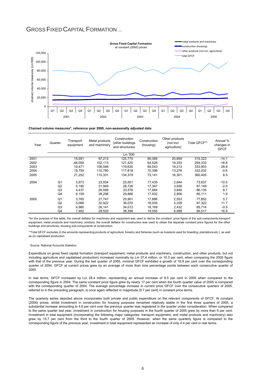## GROSS FIXED CAPITAL FORMATION ...



**Chained volume measures\*, reference year 2000, non-seasonally adjusted data**

| Year | Quarter        | Transport<br>equipment | Metal products<br>and machinery | Construction<br>(other buildings<br>and structures) | Construction<br>(housing) | Other products<br>(not incl.<br>agriculture) | Total GFCF** | Annual %<br>changes in<br><b>GFCF</b> |
|------|----------------|------------------------|---------------------------------|-----------------------------------------------------|---------------------------|----------------------------------------------|--------------|---------------------------------------|
|      |                |                        |                                 | Lm '000                                             |                           |                                              |              |                                       |
| 2001 |                | 15,091                 | 97.213                          | 125.770                                             | 60,389                    | 20,859                                       | 319,323      | $-14.1$                               |
| 2002 |                | -48.059                | 102.113                         | 121.420                                             | 64.526                    | 19.333                                       | 259.333      | $-18.8$                               |
| 2003 |                | 19.471                 | 106,546                         | 119,630                                             | 69,043                    | 19.213                                       | 333,903      | 28.8                                  |
| 2004 |                | 19,759                 | 110,780                         | 117,818                                             | 70,398                    | 13,276                                       | 332,032      | $-0.6$                                |
| 2005 |                | 21.252                 | 115.331                         | 134.379                                             | 73.141                    | 16.301                                       | 360.405      | 8.5                                   |
| 2004 | Q1             | 3.973                  | 23.934                          | 25.651                                              | 17.435                    | 2.644                                        | 73.637       | $-10.5$                               |
|      | Q2             | 5,190                  | 31,949                          | 28.726                                              | 17.347                    | 3,936                                        | 87,149       | $-2.0$                                |
|      | Q3             | 4.437                  | 26.599                          | 33.576                                              | 17.684                    | 3.840                                        | 86,135       | 8.7                                   |
|      | Q4             | 6,159                  | 28,298                          | 29,866                                              | 17,932                    | 2,856                                        | 85,111       | 1.9                                   |
| 2005 | Q <sub>1</sub> | 3.765                  | 27.747                          | 25.901                                              | 17.886                    | 2,553                                        | 77,852       | 5.7                                   |
|      | Q2             | 5.066                  | 32.922                          | 36.070                                              | 18.035                    | 5.228                                        | 97,322       | 11.7                                  |
|      | Q3             | 4,960                  | 26,141                          | 34.012                                              | 18.169                    | 2,432                                        | 85,714       | $-0.5$                                |
|      | Q4             | 7,462                  | 28,520                          | 38,396                                              | 19,050                    | 6,088                                        | 99,517       | 16.9                                  |

\*for the purpose of this table, the overall deflator for machinery and equipment was used to derive the constant price figure of the sub-components transport equipment, metal products and machinery; similarly, the overall deflator for construction was used to obtain the separate constant price figures for the other buildings and structures, housing sub-components of construction.

\*\*Total GFCF excludes (i) the amounts representing products of agriculture, forestry and fisheries (such as livestock used for breeding, plantations etc.), as well as (ii) capitalised production.

#### Source: National Accounts Statistics

Expenditure on gross fixed capital formation (transport equipment, metal products and machinery, construction, and other products, but not including agriculture and capitalised production) increased nominally by Lm 37.4 million, or 10.3 per cent, when comparing the 2005 figure with that of the previous year. During the last quarter of 2005, nominal GFCF exhibited a growth of 18.8 per cent over the corresponding quarter of 2004. GFCF at current prices grew by an average of more than nine percentage points between each consecutive quarter of 2005.

In real terms, GFCF increased by Lm 28.4 million, representing an annual increase of 8.5 per cent in 2005 when compared to the corresponding figure in 2004. The same constant price figure grew by nearly 17 per cent when the fourth quarter value of 2005 is compared with the corresponding quarter of 2004. The average percentage increase in current price GFCF over the consecutive quarters of 2005, referred to in the preceding paragraph, is once again reflected in magnitude (9.7 per cent) in constant price terms.

The quarterly series depicted above incorporates both private and public expenditure on the relevant components of GFCF. At constant (2000) prices, whilst investment in construction for housing purposes remained relatively stable in the first three quarters of 2005, a substantial increase amounting to 4.8 per cent over the previous quarter was registered in the quarter under consideration. When compared to the same quarter last year, investment in construction for housing purposes in the fourth quarter of 2005 grew by more than 6 per cent. Investment in total equipment (incorporating the following major categories: transport equipment, and metal products and machinery) also grew by 15.7 per cent from the third to the fourth quarter of 2005. However, when the same quarterly figure is compared to the corresponding figure of the previous year, investment in total equipment represented an increase of only 4.4 per cent in real terms.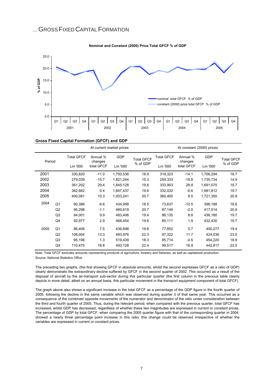## ... GROSS FIXED CAPITAL FORMATION



| Gross Fixed Capital Formation (GFCF) and GDP |  |  |  |  |  |
|----------------------------------------------|--|--|--|--|--|
|----------------------------------------------|--|--|--|--|--|

|        |                |                   | At current market prices | At constant (2000) prices       |          |                   |                     |            |                   |
|--------|----------------|-------------------|--------------------------|---------------------------------|----------|-------------------|---------------------|------------|-------------------|
| Period |                | <b>Total GFCF</b> | Annual %<br>changes      | <b>GDP</b><br><b>Total GFCF</b> |          | <b>Total GFCF</b> | Annual %<br>changes | <b>GDP</b> | <b>Total GFCF</b> |
|        | Lm '000        |                   | total GFCF               | Lm '000                         | % of GDP | Lm '000           | total GFCF          | Lm '000    | % of GDP          |
| 2001   |                | 330,820           | $-11.0$                  | 1,750,536                       | 18.9     | 319,323           | $-14.1$             | 1,706,294  | 18.7              |
| 2002   |                | 279,039           | $-15.7$                  | 1,821,244                       | 15.3     | 259,333           | $-18.8$             | 1,735,734  | 14.9              |
| 2003   |                | 361,202           | 29.4                     | 1,845,128                       | 19.6     | 333,903           | 28.8                | 1,691,070  | 19.7              |
| 2004   |                | 362,662           | 0.4                      | 1,847,437                       | 19.6     | 332,032           | $-0.6$              | 1,681,812  | 19.7              |
| 2005   |                | 400,081           | 10.3                     | 1,933,241                       | 20.7     | 360,405           | 8.5                 | 1,721,350  | 20.9              |
| 2004   | Q <sub>1</sub> | 80,386            | $-9.6$                   | 434,958                         | 18.5     | 73,637            | $-10.5$             | 396,188    | 18.6              |
|        | Q2             | 95,298            | $-1.1$                   | 460,619                         | 20.7     | 87,149            | $-2.0$              | 417,014    | 20.9              |
|        | Q <sub>3</sub> | 94,001            | 9.9                      | 483,406                         | 19.4     | 86,135            | 8.8                 | 436,180    | 19.7              |
|        | Q4             | 92,977            | 2.9                      | 468,454                         | 19.8     | 85,111            | 1.9                 | 432,430    | 19.7              |
| 2005   | Q <sub>1</sub> | 86,406            | 7.5                      | 436,698                         | 19.8     | 77,852            | 5.7                 | 400,277    | 19.4              |
|        | Q <sub>2</sub> | 108,004           | 13.3                     | 483,976                         | 22.3     | 97,322            | 11.7                | 424,036    | 23.0              |
|        | Q <sub>3</sub> | 95,196            | 1.3                      | 519,439                         | 18.3     | 85,714            | $-0.5$              | 454,220    | 18.9              |
|        | Q4             | 110,475           | 18.8                     | 493,128                         | 22.4     | 99,517            | 16.9                | 442,817    | 22.5              |

Note: Total GFCF excludes amounts representing products of agriculture, forestry and fisheries, as well as capitalized production.

Source: National Statistics Office

The preceding two graphs, (the first showing GFCF in absolute amounts, whilst the second expresses GFCF as a ratio of GDP) clearly demonstrate the extraordinary decline suffered by GFCF in the second quarter of 2002. This occurred as a result of the disposal of aircraft by the air-transport sub-sector during this particular quarter (the first column in the previous table clearly depicts in more detail, albeit on an annual basis, this particular movement in the transport equipment component of total GFCF).

The graph above also shows a significant increase in the total GFCF as a percentage of the GDP figure in the fourth quarter of 2005, following the decline in the same variable which was observed during quarter 3 of that same year. This occurred as a consequence of the combined opposite movements of the numerator and denominator of the ratio under consideration between the third and fourth quarter of 2005. Thus, during the relevant period, when compared with the previous quarter, total GFCF has increased, whilst GDP has decreased, regardless of whether these two magnitudes are expressed in current or constant prices. The percentage of GDP by total GFCF, when comparing the 2005 quarter figure with that of the corresponding quarter in 2004, showed a nearly three percentage point increase in this ratio; this change could be observed irrespective of whether the variables are expressed in current or constant prices.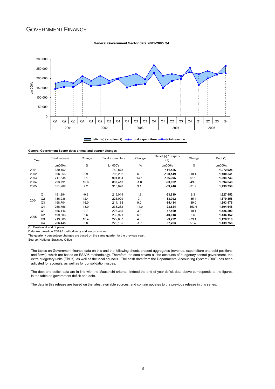# GOVERNMENT FINANCE

#### **General Government Sector data 2001-2005 Q4**



**General Government Sector data: annual and quarter changes**

| Year |                | Total revenue | Change | Total expenditure | Change                   | Deficit (-) / Surplus<br>$^{(+)}$ | Change                   | Debt $(*)$ |
|------|----------------|---------------|--------|-------------------|--------------------------|-----------------------------------|--------------------------|------------|
|      |                | Lm000's       | %      | Lm000's           | %                        | Lm000's                           | %                        | Lm000's    |
| 2001 |                | 639,452       | -      | 750,878           | $\overline{\phantom{a}}$ | $-111,426$                        | $\overline{\phantom{a}}$ | 1,072,925  |
| 2002 |                | 696.053       | 8.9    | 796.202           | 6.0                      | $-100, 149$                       | $-10.1$                  | 1,100,541  |
| 2003 |                | 717.638       | 3.1    | 904.034           | 13.5                     | $-186.395$                        | 86.1                     | 1,304,733  |
| 2004 |                | 793,791       | 10.6   | 887.413           | $-1.8$                   | -93,622                           | $-49.8$                  | 1,394,648  |
| 2005 |                | 851.282       | 7.2    | 915.028           | 3.1                      | $-63,746$                         | $-31.9$                  | 1,439,758  |
|      | Q <sub>1</sub> | 151.394       | $-0.9$ | 215.014           | 1.9                      | $-63,619$                         | 9.3                      | 1,327,452  |
|      | Q2             | 186.936       | 12.4   | 225.029           | $-0.1$                   | -38.092                           | $-35.4$                  | 1,379,358  |
| 2004 | Q <sub>3</sub> | 198.704       | 16.0   | 214.138           | 9.0                      | $-15.434$                         | $-39.0$                  | 1,393,476  |
|      | Q <sub>4</sub> | 256.756       | 13.0   | 233.232           | $-14.0$                  | 23,524                            | $-153.6$                 | 1,394,648  |
|      | Q <sub>1</sub> | 166.146       | 9.7    | 223.315           | 3.9                      | $-57,169$                         | $-10.1$                  | 1,426,209  |
| 2005 | Q2             | 199.303       | 6.6    | 239.921           | 6.6                      | -40.618                           | 6.6                      | 1,436,152  |
|      | Q <sub>3</sub> | 219.385       | 10.4   | 222.607           | 4.0                      | $-3,222$                          | $-79.1$                  | 1,428,910  |
|      | Q4             | 266.448       | 3.8    | 229.185           | $-1.7$                   | 37.263                            | 58.4                     | 1.439.758  |

(\*) Position at end of period.

Data are based on ESA95 methodology and are provisional.

The quarterly percentage changes are based on the same quarter for the previous year.

Source: National Statistics Office

The tables on Government finance data on this and the following sheets present aggregates (revenue, expenditure and debt positions and flows), which are based on ESA95 methodology. Therefore the data covers all the accounts of budgetary central government, the extra budgetary units (EBUs), as well as the local councils. The cash data from the Departmental Accounting System (DAS) has been adjusted for accruals, as well as for consolidation issues.

The debt and deficit data are in line with the Maastricht criteria. Indeed the end of year deficit data above corresponds to the figures in the table on government deficit and debt.

The data in this release are based on the latest available sources, and contain updates to the previous release in this series.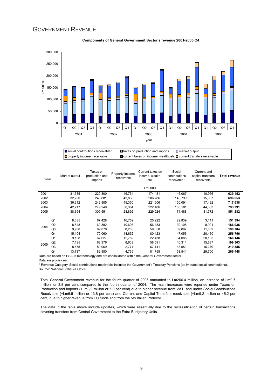## **GOVERNMENT REVENUE**



#### **Components of General Government Sector's revenue 2001-2005 Q4**

 $\Box$  social contributions receivable\*  $\Box$  taxes on production and imports  $\Box$  market output **□** property income, receivable □ current taxes on income, wealth, etc □ current transfers receivable

| Year |                | Market output | Taxes on<br>production and<br>imports | Property income,<br>receivable | Current taxes on<br>income, wealth,<br>etc.                                                   | Social<br>contributions<br>receivable* | Current and<br>capital transfers<br>receivable | <b>Total revenue</b> |
|------|----------------|---------------|---------------------------------------|--------------------------------|-----------------------------------------------------------------------------------------------|----------------------------------------|------------------------------------------------|----------------------|
|      |                |               |                                       |                                | Lm000's                                                                                       |                                        |                                                |                      |
| 2001 |                | 31,385        | 229,800                               | 46,764                         | 174,481                                                                                       | 146,067                                | 10,956                                         | 639,452              |
| 2002 |                | 32,790        | 249,881                               | 43,830                         | 206,786                                                                                       | 146,799                                | 15,967                                         | 696,053              |
| 2003 |                | 36,312        | 242,885                               | 49,350                         | 221.506                                                                                       | 150,094                                | 17.492                                         | 717,638              |
| 2004 |                | 42,217        | 279,240                               | 50,364                         | 222,486                                                                                       | 155,101                                | 44,383                                         | 793,791              |
| 2005 |                | 38,654        | 300,551                               | 28,892                         | 229,924                                                                                       | 171,488                                | 81,772                                         | 851,282              |
|      | Q <sub>1</sub> | 8,335         | 67,428                                | 16,759                         | 25,922                                                                                        | 29,839                                 | 3,111                                          | 151,394              |
|      | Q2             | 8,848         | 62,882                                | 10.693                         | 56.483                                                                                        | 39.108                                 | 8.921                                          | 186,936              |
| 2004 | Q <sub>3</sub> | 9.930         | 69,870                                | 8.260                          | 59,658                                                                                        | 39.097                                 | 11.889                                         | 198,704              |
|      | Q4             | 15,104        | 79,060                                | 14,652                         | 80,423                                                                                        | 47,056                                 | 20,460                                         | 256,756              |
|      | Q <sub>1</sub> | 9.108         | 67,627                                | 12.782                         | 22.438                                                                                        | 34.086                                 | 20,105                                         | 166,146              |
|      | Q2             | 7,135         | 68,976                                | 8,603                          | 58,591                                                                                        | 40,311                                 | 15,687                                         | 199,303              |
| 2005 | Q <sub>3</sub> | 8.675         | 80.969                                | 2.771                          | 67,141                                                                                        | 43.551                                 | 16,279                                         | 219,385              |
|      | Q4             | 13.737        | 82,980                                | 4,735                          | 81,755                                                                                        | 53,541                                 | 29,700                                         | 266,448              |
|      |                |               |                                       |                                | Data are based on ESA95 methodology and are consolidated within the General Government sector |                                        |                                                |                      |

Data are based on ESA95 methodology and are consolidated within the General Government sector.

Data are provisional.

\* Revenue Category 'Social contributions receivable' includes the Government's Treasury Pensions (as imputed social contributions). Source: National Statistics Office

Total General Government revenue for the fourth quarter of 2005 amounted to Lm266.4 million, an increase of Lm9.7 million, or 3.8 per cent compared to the fourth quarter of 2004. The main increases were reported under Taxes on Production and Imports (+Lm3.9 million or 5.0 per cent) due to higher revenue from VAT, and under Social Contributions Receivable (+Lm6.5 million or 13.8 per cent) and Current and Capital Transfers receivable (+Lm9.2 million or 45.2 per cent) due to higher revenue from EU funds and from the 5th Italian Protocol.

The data in the table above include updates, which were essentially due to the reclassification of certain transactions covering transfers from Central Government to the Extra Budgetary Units.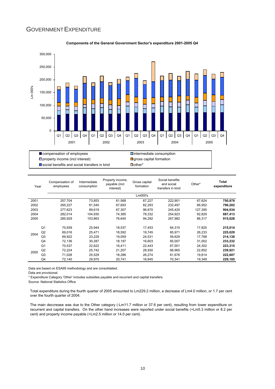## GOVERNMENT EXPENDITURE



## **Components of the General Government Sector's expenditure 2001-2005 Q4**

 $\square$  social benefits and social transfers in kind  $\square$  other\*

| Year |                | Compensation of<br>employees | Intermediate<br>consumption | Property income,<br>payable (incl<br>interest) | Gross capital<br>formation | Social benefits<br>and social<br>transfers in kind | Other*  | Total<br>expenditure |
|------|----------------|------------------------------|-----------------------------|------------------------------------------------|----------------------------|----------------------------------------------------|---------|----------------------|
|      |                |                              |                             |                                                | Lm000's                    |                                                    |         |                      |
| 2001 |                | 257,704                      | 73,853                      | 61,568                                         | 67,227                     | 222,901                                            | 67,624  | 750,878              |
| 2002 |                | 265,227                      | 81,540                      | 67,693                                         | 82,293                     | 232,497                                            | 66.952  | 796,202              |
| 2003 |                | 277,623                      | 89,619                      | 67,307                                         | 96,670                     | 245,420                                            | 127,395 | 904,034              |
| 2004 |                | 282,014                      | 104,930                     | 74,385                                         | 78,332                     | 254,923                                            | 92,829  | 887,413              |
| 2005 |                | 285,929                      | 103,863                     | 76,645                                         | 94,292                     | 267,982                                            | 86,317  | 915,028              |
|      | Q <sub>1</sub> | 70.939                       | 25,944                      | 18,537                                         | 17,453                     | 64,315                                             | 17,825  | 215,014              |
| 2004 | Q2             | 69.016                       | 25,471                      | 18.592                                         | 19.745                     | 65,971                                             | 26,233  | 225,029              |
|      | Q3             | 69.922                       | 23,229                      | 19.059                                         | 24,531                     | 59,629                                             | 17,768  | 214,138              |
|      | Q4             | 72,136                       | 30,287                      | 18,197                                         | 16,603                     | 65,007                                             | 31,002  | 233,232              |
|      | Q <sub>1</sub> | 70,537                       | 22,622                      | 16,411                                         | 22,443                     | 67,001                                             | 24,302  | 223,315              |
|      | Q2             | 72,224                       | 25,742                      | 21,207                                         | 28,930                     | 68,965                                             | 22,852  | 239,921              |
| 2005 | Q <sub>3</sub> | 71.028                       | 25.529                      | 18,286                                         | 26,274                     | 61,676                                             | 19.814  | 222,607              |
|      | Q4             | 72,140                       | 29,970                      | 20,741                                         | 16,645                     | 70,341                                             | 19,349  | 229,185              |

Data are based on ESA95 methodology and are consolidated.

Data are provisional.

\* Expenditure Category 'Other' includes subsidies payable and recurrent and capital transfers.

Source: National Statistics Office

Total expenditure during the fourth quarter of 2005 amounted to Lm229.2 million, a decrease of Lm4.0 million, or 1.7 per cent over the fourth quarter of 2004.

The main deccrease was due to the Other category (-Lm11.7 million or 37.6 per cent), resulting from lower expenditure on recurrent and capital transfers. On the other hand increases were reported under social benefits (+Lm5.3 million or 8.2 per cent) and property income payable (+Lm2.5 million or 14.0 per cent).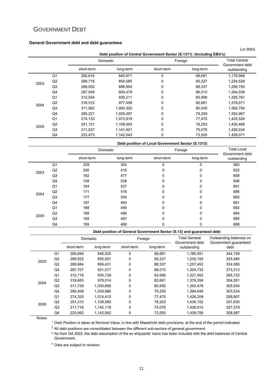# GOVERNMENT DEBT

## **General Government debt and debt guarantees**

|      |                |            |           |                                                                       |           | Lm 000's                                |
|------|----------------|------------|-----------|-----------------------------------------------------------------------|-----------|-----------------------------------------|
|      |                |            |           | Debt position of Central Government Sector (S.1311) (Including EBU's) |           |                                         |
|      |                |            | Domestic  |                                                                       | Foreign   | <b>Total Central</b><br>Government debt |
|      |                | short-term | long-term | short-term                                                            | long-term | outstanding                             |
|      | Q <sub>1</sub> | 265,616    | 845,671   | 0                                                                     | 68,681    | 1,179,968                               |
| 2003 | Q2             | 289,716    | 854,585   | 0                                                                     | 90,227    | 1,234,528                               |
|      | Q <sub>3</sub> | 269,502    | 898,954   | 0                                                                     | 88,337    | 1,256,793                               |
|      | Q4             | 287,549    | 930,479   | 0                                                                     | 86,010    | 1,304,038                               |
|      | Q <sub>1</sub> | 312,554    | 930,211   | 0                                                                     | 83,996    | 1,326,761                               |
| 2004 | Q2             | 318,512    | 977,498   | 0                                                                     | 82,661    | 1,378,671                               |
|      | Q3             | 311,562    | 1,000,302 | 0                                                                     | 80,930    | 1,392,794                               |
|      | Q4             | 285,221    | 1,029,487 | 0                                                                     | 79,259    | 1,393,967                               |
|      | Q <sub>1</sub> | 274,133    | 1,073,919 | 0                                                                     | 77,475    | 1,425,526                               |
| 2005 | Q2             | 251,121    | 1,108,093 | 0                                                                     | 76,253    | 1,435,468                               |
|      | Q3             | 211,527    | 1,141,621 | 0                                                                     | 75,076    | 1,428,224                               |
|      | Q4             | 223,473    | 1,142,043 | 0                                                                     | 73,555    | 1,439,071                               |

**Debt position of Local Government Sector (S.1313)**

|      |                | Domestic   |           | Foreign      |           | <b>Total Local</b><br>Government debt |
|------|----------------|------------|-----------|--------------|-----------|---------------------------------------|
|      |                | short-term | long-term | short-term   | long-term | outstanding                           |
|      | Q1             | 229        | 354       | $\Omega$     | 0         | 583                                   |
| 2003 | Q2             | 206        | 416       | 0            | 0         | 622                                   |
|      | Q <sub>3</sub> | 182        | 477       | $\mathbf{0}$ | 0         | 659                                   |
|      | Q4             | 158        | 538       | 0            | 0         | 696                                   |
|      | Q1             | 164        | 527       | 0            | 0         | 691                                   |
| 2004 | Q2             | 171        | 516       | $\Omega$     | 0         | 686                                   |
|      | Q <sub>3</sub> | 177        | 504       | 0            | 0         | 682                                   |
|      | Q4             | 187        | 493       | $\Omega$     | 0         | 681                                   |
|      | Q1             | 188        | 495       | 0            | 0         | 682                                   |
| 2005 | Q2             | 188        | 496       | $\Omega$     | 0         | 684                                   |
|      | Q <sub>3</sub> | 189        | 497       | $\mathbf{0}$ | 0         | 686                                   |
|      | Q4             | 189        | 499       | 0            | 0         | 688                                   |

## **Debt position of General Government Sector (S.13) and guaranteed debt**

|      |                |            | Domestic  |            | Foreign   | <b>Total General</b><br>Government debt | Outstanding balances on<br>Government guaranteed |  |
|------|----------------|------------|-----------|------------|-----------|-----------------------------------------|--------------------------------------------------|--|
|      |                | short-term | long-term | short-term | long-term | outstanding                             | debt                                             |  |
|      | Q <sub>1</sub> | 265,845    | 846,025   | 0          | 68,681    | 1,180,551                               | 344,159                                          |  |
| 2003 | Q2             | 289,922    | 855.001   | 0          | 90.227    | 1,235,150                               | 325,480                                          |  |
|      | Q <sub>3</sub> | 269,684    | 899.431   | 0          | 88,337    | 1,257,452                               | 324,085                                          |  |
|      | Q4             | 287,707    | 931,017   | 0          | 86,010    | 1,304,733                               | 273,312                                          |  |
|      | Q <sub>1</sub> | 312,718    | 930,738   | 0          | 83,996    | 1,327,452                               | 265,722                                          |  |
| 2004 | Q2             | 318,683    | 978,014   | 0          | 82,661    | 1,379,358                               | 304,261                                          |  |
|      | Q <sub>3</sub> | 311,739    | 1,000,806 | 0          | 80,930    | 1,393,476                               | 305,034                                          |  |
|      | Q4             | 285,408    | 1,029,980 | 0          | 79,259    | 1,394,648                               | 303,534                                          |  |
|      | Q <sub>1</sub> | 274,320    | 1,074,413 | 0          | 77,475    | 1,426,209                               | 299,907                                          |  |
| 2005 | Q2             | 251,310    | 1,108,589 | 0          | 76,253    | 1,436,152                               | 297,630                                          |  |
|      | Q3             | 211,716    | 1,142,118 | 0          | 75,076    | 1,428,910                               | 327,378                                          |  |
|      | Q4             | 223,662    | 1,142,542 | 0          | 73,555    | 1,439,758                               | 308,587                                          |  |

Notes:

1 Debt Position is taken at Nominal Value, in line with Maastricht debt provisions; at the end of the period indicated.

 $2$  All debt positions are consolidated between the different sub-sectors of general government.

3 As from Q4 2003, the debt assumption of the ex shipyards' loans has been included with the debt balances of Central Government.

<sup>4</sup> Data are subject to revision.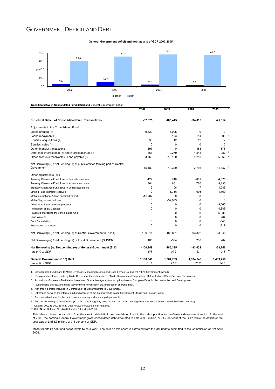## GOVERNMENT DEFICIT AND DEBT

**General Government deficit and debt as a % of GDP 2002-2005**



**Transition between Consolidated Fund deficit and General Government deficit**

|                                                                                | 2002           | 2003       | 2004        | 2005                |   |
|--------------------------------------------------------------------------------|----------------|------------|-------------|---------------------|---|
| <b>Structural Deficit of Consolidated Fund Transactions</b>                    | $-87,675$      | $-105,445$ | $-94,018$   | $-75,314$           |   |
| Adjustments to the Consolidated Fund:                                          |                |            |             |                     |   |
| Loans granted (+)                                                              | 9,539          | 4,095      | $\Omega$    | $0-1$               |   |
| Loans repayments (-)                                                           | $\Omega$       | $-153$     | $-114$      | $-3002$             |   |
| Equities, acquisitions (+)                                                     | 35             | 12         | 12          | 12                  | 3 |
| Equities, sales (-)                                                            | $\Omega$       | $\Omega$   | $\Omega$    | $\Omega$            |   |
| Other financial transactions                                                   | $-397$         | $\Omega$   | $-1,458$    | $-676$ $4$          |   |
| Difference interest paid (+) and interest accrued (-)                          | 361            | $-2,279$   | $-1,545$    | $-987$ <sup>5</sup> |   |
| Other accounts receivable (+) and payable (-)                                  | 3.760          | $-13,100$  | 4,218       | $-5,363$ $6$        |   |
| Net Borrowing (-) / Net Lending (+) of public entities forming part of Central |                |            |             |                     |   |
| Government                                                                     | $-15.189$      | $-19,320$  | $-2.798$    | $11,857$ $^7$       |   |
| Other adjustments (+/-)                                                        |                |            |             |                     |   |
| Treasury Clearance Fund flows in deposits accounts                             | $-127$         | 748        | $-802$      | 4,376               |   |
| Treasury Clearance Fund flows in advance accounts                              | 364            | 651        | 760         | 8,135               |   |
| Treasury Clearance Fund flows in unallocated stores                            | $\overline{2}$ | 106        | 17          | 1,085               |   |
| Sinking Fund interests' received                                               | $\Omega$       | 1,756      | 1,905       | 1,769               |   |
| Malta International Airport special dividend                                   | $-11,287$      | 0          | 0           | 0                   |   |
| Malta Shipyards adjustment                                                     | 0              | $-52,933$  | $\mathbf 0$ | $\mathbf 0$         |   |
| Adjustment Stock premium proceeds                                              | 0              | 0          | 0           | $-9.665$            |   |
| Adjustment of 3G Licenses                                                      | 0              | 0          | 0           | $-4,889$            |   |
| Payables charged to the consolidated fund                                      | 0              | 0          | $\mathbf 0$ | 6,938               |   |
| Loan Write-off                                                                 | $\Omega$       | 0          | $\Omega$    | $-64$               |   |
| <b>Debt Cancellation</b>                                                       | $\Omega$       | 0          | $\Omega$    | $-545$              |   |
| Privatisation expenses                                                         | 0              | 0          | $\Omega$    | $-317$              |   |
| Net Borrowing (-) / Net Lending (+) of Central Government (S.1311)             | $-100.614$     | $-185,861$ | $-93,822$   | $-63,948$           |   |
| Net Borrowing (-) / Net Lending (+) of Local Government (S.1313)               | 465            | $-534$     | 200         | 202                 |   |
| Net Borrowing (-) / Net Lending (+) of General Government (S.13)               | $-100, 149$    | $-186,395$ | -93.622     | $-63,746$           |   |
| as a % of GDP                                                                  | 5.6            | 10.2       | 5.1         | 3.3                 |   |
| General Government (S.13) Debt                                                 | 1.100.541      | 1,304,733  | 1,394,648   | 1,439,758           |   |
| as a % of GDP                                                                  | 61.2           | 71.3       | 76.2        | 74.7                |   |

1. Consolidated Fund loans to Malta Drydocks, Malta Shipbuilding and Gozo Ferries Co. Ltd. (all 100% Government owned).

2. Repayments of loans made by Malta Government Investments Ltd / Malta Development Corporation, Malpro Ltd and Water Services Corporation.

3. Acquisition of shares in Multilateral Investment Guarantee Agency (subscription shares), European Bank for Reconstruction and Development.

(subsriptions shares), and Malta Government Privatisation plc. (increase in shareholding).

4. Non-trading profits included in Central Bank of Malta transfers to Government.

5. Difference between the interest paid and accrued of the Treasury Bills, Malta Government Stocks and Foreign Loans.

6. Accruals adjustment for the main revenue earning and spending departments.

7. The net borrowing (-) / net lending (+) of the extra budgetary units forming part of the cental government sector (based on a delimitation exercise).

\* Data for 2002 to 2003 is final. Data for 2004 to 2005 is half-finalised.

\*\* GDP News Release No. 47/2006 dated 10th March 2006.

This table explains the transition from the structural deficit of the consolidated fund, to the deficit position for the General Government sector. At the end<br>of 2005, the nominal General Government gross consolidated deb year was of Lm63.7 million, or 3.3 per cent of GDP.

Malta reports its debt and deficit levels twice a year. The data on this sheet is extracted from the last update submitted to the Commission on 1st April 2006.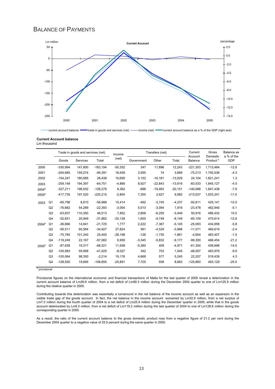# BALANCE OF PAYMENTS



current account balance **trade in goods and services (net)** - income (net) **-** current account balance as a % of the GDP (right axis)

## **Current Account balance**

Lm thousand

|                   |                | Trade in goods and services (net) |          | Income     | Transfers (net) |            |           | Current<br>Account | Gross<br>Domestic | Balance as<br>a % of the |         |
|-------------------|----------------|-----------------------------------|----------|------------|-----------------|------------|-----------|--------------------|-------------------|--------------------------|---------|
|                   |                | Goods                             | Services | Total      | (net)           | Government | Other     | Total              | Balance           | Product *                | GDP     |
| 2000              |                | $-330.994$                        | 147.800  | $-183.194$ | $-50,352$       | 347        | 11.896    | 12.243             | $-221.303$        | 1.713.464                | $-12.9$ |
| 2001              |                | $-254.665$                        | 159,274  | $-95,391$  | 16,509          | 3,595      | 74        | 3,669              | $-75,213$         | 1,750,536                | $-4.3$  |
| 2002              |                | $-154.247$                        | 180.685  | 26.438     | 10,695          | 3.152      | $-16.181$ | $-13,029$          | 24,104            | 1,821,241                | 1.3     |
| 2003              |                | $-259,148$                        | 194,397  | $-64.751$  | $-4.866$        | 8,927      | $-22,843$ | $-13,916$          | $-83.533$         | 1,845,127                | $-4.5$  |
| 2004 <sup>p</sup> |                | $-327,211$                        | 198,932  | $-128,279$ | 8,362           | $-688$     | $-19,463$ | $-20,151$          | $-140.068$        | 1,847,438                | $-7.6$  |
| 2005 <sup>p</sup> |                | $-417,735$                        | 197,520  | $-220,215$ | $-2,804$        | 7,355      | 2,627     | 9,982              | $-213,037$        | 1,933,241                | $-11.0$ |
| 2003              | Q <sub>1</sub> | $-65.798$                         | 8.810    | $-56.988$  | 10,414          | $-492$     | $-3.745$  | $-4.237$           | $-50.811$         | 425.141                  | $-12.0$ |
|                   | Q2             | $-76,682$                         | 54,289   | $-22,393$  | $-3,004$        | 5,013      | $-3,094$  | 1.919              | $-23,478$         | 462.940                  | $-5.1$  |
|                   | Q3             | $-63,837$                         | 110,350  | 46,513     | 7.852           | 2.806      | $-6.255$  | $-3,449$           | 50.916            | 486.432                  | 10.5    |
|                   | Q4             | $-52.831$                         | 20.949   | $-31.882$  | $-20.128$       | 1.600      | $-9.749$  | $-8,149$           | $-60.159$         | 470.614                  | $-12.8$ |
| 2004 <sup>p</sup> | Q1             | $-36,666$                         | 14,941   | $-21,725$  | 1,777           | 2,222      | $-7,367$  | $-5,145$           | $-25,093$         | 434,958                  | $-5.8$  |
|                   | Q2             | $-95,511$                         | 60,584   | $-34,927$  | 27,824          | 561        | $-4,529$  | $-3,968$           | $-11,071$         | 460,619                  | $-2.4$  |
|                   | Q3             | $-75,785$                         | 101,240  | 25.455     | $-28,198$       | $-126$     | $-1.735$  | $-1.861$           | $-4.604$          | 483,407                  | $-1.0$  |
|                   | Q4             | $-119.249$                        | 22,167   | $-97,082$  | 6,959           | $-3,345$   | $-5,832$  | $-9,177$           | $-99,300$         | 468,454                  | $-21.2$ |
| 2005 <sup>p</sup> | Q <sub>1</sub> | $-87,638$                         | 19,317   | $-68,321$  | 11,938          | $-5,380$   | 409       | $-4,971$           | $-61,354$         | 436,698                  | $-14.0$ |
|                   | Q2             | $-100.983$                        | 59.958   | $-41.025$  | $-8,027$        | 342        | 703       | 1.045              | $-48.007$         | 483.976                  | $-9.9$  |
|                   | Q3             | $-100,564$                        | 98,350   | $-2,214$   | 19,176          | 4,668      | 577       | 5,245              | 22,207            | 519,439                  | 4.3     |
|                   | Q4             | $-128,550$                        | 19.895   | $-108,655$ | $-25,891$       | 7,725      | 938       | 8.663              | $-125,883$        | 493,129                  | $-25.5$ |

<sup>p</sup> provisional

Provisional figures on the international economic and financial transactions of Malta for the last quarter of 2005 reveal a deterioration in the current account balance of Lm26.6 million, from a net deficit of Lm99.3 million during the December 2004 quarter to one of Lm125.9 million during the relative quarter in 2005.

Contributing towards this deterioration was essentially a turnaround in the net balance of the income account as well as an expansion in the visible trade gap of the goods account. In fact, the net balance in the income account worsened by Lm32.9 million, from a net surplus of Lm7.0 million during the fourth quarter of 2004 to a net deficit of Lm25.9 million during the December quarter in 2005; while that in the goods account deteriorated by Lm9.3 million, from a net deficit of Lm119.2 million during the last quarter of 2004 to one of Lm128.6 million during the corresponding quarter in 2005.

As a result, the ratio of the current account balance to the gross domestic product rose from a negative figure of 21.2 per cent during the December 2004 quarter to a negative value of 25.5 percent during the same quarter in 2005.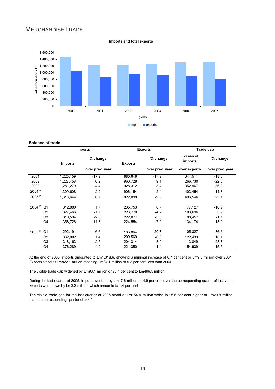# MERCHANDISETRADE

**Imports and total exports**

![](_page_14_Figure_2.jpeg)

## **Balance of trade**

|                   |                |                | <b>Imports</b>  |                | <b>Exports</b>  |                             | Trade gap       |  |
|-------------------|----------------|----------------|-----------------|----------------|-----------------|-----------------------------|-----------------|--|
|                   |                | <b>Imports</b> | % change        | <b>Exports</b> | % change        | <b>Excess of</b><br>imports | % change        |  |
|                   |                |                | over prev. year |                | over prev. year | over exports                | over prev. year |  |
| 2001              |                | 1,225,159      | $-17.9$         | 880,648        | $-17.9$         | 344,511                     | $-18.0$         |  |
| 2002              |                | 1,227,458      | 0.2             | 960,728        | 9.1             | 266,730                     | $-22.6$         |  |
| 2003              |                | 1,281,279      | 4.4             | 928,312        | $-3.4$          | 352,967                     | 36.2            |  |
| 2004 <sup>P</sup> |                | 1,309,608      | 2.2             | 906,154        | $-2.4$          | 403.454                     | 14.3            |  |
| 2005 <sup>p</sup> |                | 1,318,644      | 0.7             | 822,098        | $-9.3$          | 496.546                     | 23.1            |  |
| 2004 <sup>p</sup> | Q <sub>1</sub> | 312,880        | 1.7             | 235,753        | 6.7             | 77,127                      | $-10.9$         |  |
|                   | Q <sub>2</sub> | 327,466        | $-1.7$          | 223,770        | $-4.2$          | 103,696                     | 3.9             |  |
|                   | Q3             | 310,534        | $-2.8$          | 222,077        | $-3.5$          | 88,457                      | $-1.1$          |  |
|                   | Q4             | 358,728        | 11.8            | 224,554        | $-7.9$          | 134,174                     | 13.9            |  |
| 2005 <sup>p</sup> | Q <sub>1</sub> | 292,191        | $-6.6$          | 186,864        | $-20.7$         | 105,327                     | 36.6            |  |
|                   | Q2             | 332,002        | 1.4             | 209.569        | $-6.3$          | 122.433                     | 18.1            |  |
|                   | Q <sub>3</sub> | 318,163        | 2.5             | 204,314        | $-8.0$          | 113,849                     | 28.7            |  |
|                   | Q4             | 376,289        | 4.9             | 221,350        | $-1.4$          | 154,939                     | 15.5            |  |

At the end of 2005, imports amounted to Lm1,318.6, showing a minimal increase of 0.7 per cent or Lm9.0 million over 2004. Exports stood at Lm822.1 million meaning Lm84.1 million or 9.3 per cent less than 2004.

The visible trade gap widened by Lm93.1 million or 23.1 per cent to Lm496.5 million.

During the last quarter of 2005, imports went up by Lm17.6 million or 4.9 per cent over the corresponding quarer of last year. Exports went down by Lm3.2 million, which amounts to 1.4 per cent.

The visible trade gap for the last quarter of 2005 stood at Lm154.9 million which is 15.5 per cent higher or Lm20.8 million than the corresponding quarter of 2004.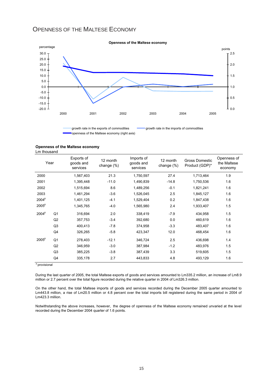# OPENNESS OF THE MALTESE ECONOMY

![](_page_15_Figure_1.jpeg)

#### **Openness of the Maltese economy**

**Openness of the Maltese economy**

Lm thousand

| Year              |                | Exports of<br>goods and<br>services | 12 month<br>change $(\%)$ | Imports of<br>goods and<br>services | 12 month<br>change (%) | Gross Domestic<br>Product (GDP)* | Openness of<br>the Maltese<br>economy |
|-------------------|----------------|-------------------------------------|---------------------------|-------------------------------------|------------------------|----------------------------------|---------------------------------------|
| 2000              |                | 1,567,403                           | 21.3                      | 1,750,597                           | 27.4                   | 1,713,464                        | 1.9                                   |
| 2001              |                | 1,395,448                           | $-11.0$                   | 1,490,839                           | $-14.8$                | 1,750,536                        | 1.6                                   |
| 2002              |                | 1,515,694                           | 8.6                       | 1,489,256                           | $-0.1$                 | 1,821,241                        | 1.6                                   |
| 2003              |                | 1,461,294                           | $-3.6$                    | 1,526,045                           | 2.5                    | 1,845,127                        | 1.6                                   |
| 2004 <sup>p</sup> |                | 1,401,125                           | $-4.1$                    | 1,529,404                           | 0.2                    | 1,847,438                        | 1.6                                   |
| 2005 <sup>p</sup> |                | 1,345,765                           | $-4.0$                    | 1,565,980                           | 2.4                    | 1,933,407                        | 1.5                                   |
| 2004 <sup>p</sup> | Q <sub>1</sub> | 316,694                             | 2.0                       | 338,419                             | $-7.9$                 | 434,958                          | 1.5                                   |
|                   | Q2             | 357,753                             | $-3.4$                    | 392,680                             | 0.0                    | 460,619                          | 1.6                                   |
|                   | Q <sub>3</sub> | 400,413                             | $-7.8$                    | 374,958                             | $-3.3$                 | 483,407                          | 1.6                                   |
|                   | Q4             | 326,265                             | $-5.8$                    | 423,347                             | 12.0                   | 468,454                          | 1.6                                   |
| 2005 <sup>p</sup> | Q <sub>1</sub> | 278,403                             | $-12.1$                   | 346,724                             | 2.5                    | 436,698                          | 1.4                                   |
|                   | Q2             | 346,959                             | $-3.0$                    | 387,984                             | $-1.2$                 | 483,976                          | 1.5                                   |
|                   | Q <sub>3</sub> | 385,225                             | $-3.8$                    | 387,439                             | 3.3                    | 519,605                          | 1.5                                   |
|                   | Q4             | 335,178                             | 2.7                       | 443,833                             | 4.8                    | 493,129                          | 1.6                                   |

<sup>p</sup> provisional

During the last quarter of 2005, the total Maltese exports of goods and services amounted to Lm335.2 million, an increase of Lm8.9 million or 2.7 percent over the total figure recorded during the relative quarter in 2004 of Lm326.3 million.

On the other hand, the total Maltese imports of goods and services recorded during the December 2005 quarter amounted to Lm443.8 million, a rise of Lm20.5 million or 4.8 percent over the total imports bill registered during the same period in 2004 of Lm423.3 million.

Notwithstanding the above increases, however, the degree of openness of the Maltese economy remained unvaried at the level recorded during the December 2004 quarter of 1.6 points.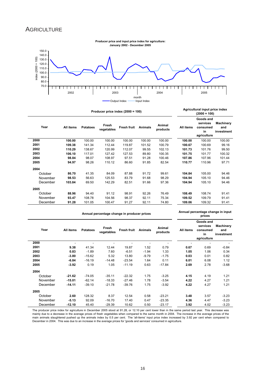## **AGRICULTURE**

![](_page_16_Figure_1.jpeg)

|          |           |                 | Producer price index $(2000 = 100)$ |                    |                |                    |           | Agricultural input price index<br>$(2000 = 100)$       |                                |
|----------|-----------|-----------------|-------------------------------------|--------------------|----------------|--------------------|-----------|--------------------------------------------------------|--------------------------------|
| Year     | All items | <b>Potatoes</b> | Fresh<br>vegetables                 | <b>Fresh fruit</b> | <b>Animals</b> | Animal<br>products | All items | Goods and<br>services<br>consumed<br>in<br>agriculture | Machinery<br>and<br>investment |
| 2000     | 100.00    | 100.00          | 100.00                              | 100.00             | 100.00         | 100.00             | 100.00    | 100.00                                                 | 100.00                         |
| 2001     | 109.38    | 141.34          | 112.44                              | 119.87             | 101.52         | 100.79             | 100.67    | 100.69                                                 | 99.16                          |
| 2002     | 110.29    | 138.67          | 120.99                              | 112.07             | 99.55          | 102.13             | 101.73    | 101.76                                                 | 99.50                          |
| 2003     | 106.10    | 117.01          | 127.42                              | 127.53             | 89.80          | 100.35             | 101.75    | 101.77                                                 | 100.32                         |
| 2004     | 98.84     | 98.07           | 108.97                              | 97.51              | 91.28          | 100.46             | 107.86    | 107.96                                                 | 101.44                         |
| 2005     | 94.97     | 98.26           | 110.12                              | 86.60              | 91.85          | 82.54              | 110.77    | 110.96                                                 | 97.71                          |
| 2004     |           |                 |                                     |                    |                |                    |           |                                                        |                                |
| October  | 86.70     | 41.35           | 84.09                               | 87.88              | 91.72          | 99.61              | 104.84    | 105.00                                                 | 94.46                          |
| November | 98.53     | 56.63           | 125.53                              | 83.79              | 91.68          | 98.29              | 104.94    | 105.10                                                 | 94.46                          |
| December | 103.84    | 69.50           | 142.29                              | 82.51              | 91.66          | 97.36              | 104.94    | 105.10                                                 | 94.46                          |
| 2005     |           |                 |                                     |                    |                |                    |           |                                                        |                                |
| October  | 88.96     | 94.40           | 91.12                               | 98.91              | 92.26          | 76.49              | 108.49    | 108.74                                                 | 91.41                          |
| November | 93.47     | 108.78          | 104.56                              | 98.37              | 92.11          | 75.34              | 109.52    | 109.79                                                 | 91.41                          |
| December | 91.28     | 101.05          | 100.47                              | 91.27              | 92.11          | 74.80              | 109.06    | 109.32                                                 | 91.41                          |

**Annual percentage change in producer prices Annual percentage change in input prices** 

| Year     | All items | <b>Potatoes</b> | Fresh<br>vegetables | <b>Fresh fruit</b> | <b>Animals</b> | Animal<br>products | All items | Goods and<br>services<br>consumed<br>in<br>agriculture | <b>Machinery</b><br>and<br>investment |
|----------|-----------|-----------------|---------------------|--------------------|----------------|--------------------|-----------|--------------------------------------------------------|---------------------------------------|
| 2000     |           |                 | ۰                   |                    |                |                    | ٠         |                                                        |                                       |
| 2001     | 9.38      | 41.34           | 12.44               | 19.87              | 1.52           | 0.79               | 0.67      | 0.69                                                   | $-0.84$                               |
| 2002     | 0.83      | $-1.89$         | 7.60                | $-6.51$            | $-1.94$        | 1.33               | 1.05      | 1.06                                                   | 0.34                                  |
| 2003     | $-3.80$   | $-15.62$        | 5.32                | 13.80              | $-9.79$        | $-1.75$            | 0.03      | 0.01                                                   | 0.82                                  |
| 2004     | $-6.84$   | $-16.19$        | $-14.48$            | $-23.54$           | 1.64           | 0.11               | 6.01      | 6.08                                                   | 1.12                                  |
| 2005     | $-3.92$   | 0.19            | 1.05                | $-11.19$           | 0.63           | $-17.84$           | 2.69      | 2.78                                                   | $-3.68$                               |
| 2004     |           |                 |                     |                    |                |                    |           |                                                        |                                       |
| October  | $-21.62$  | $-74.05$        | $-35.11$            | $-22.32$           | 1.75           | $-3.25$            | 4.15      | 4.19                                                   | 1.21                                  |
| November | $-15.01$  | $-62.14$        | $-18.33$            | $-27.46$           | 1.78           | $-3.54$            | 4.22      | 4.27                                                   | 1.21                                  |
| December | $-14.11$  | $-39.10$        | $-21.78$            | $-39.76$           | 1.75           | $-3.92$            | 4.22      | 4.27                                                   | 1.21                                  |
| 2005     |           |                 |                     |                    |                |                    |           |                                                        |                                       |
| October  | 2.60      | 128.32          | 8.37                | 12.54              | 0.58           | $-23.21$           | 3.48      | 3.57                                                   | $-3.23$                               |
| November | $-5.13$   | 92.09           | $-16.70$            | 17.40              | 0.47           | $-23.35$           | 4.36      | 4.47                                                   | $-3.23$                               |
| December | $-12.10$  | 45.40           | $-29.39$            | 10.62              | 0.50           | $-23.17$           | 3.92      | 4.02                                                   | $-3.23$                               |

The producer price index for agriculture in December 2005 stood at 91.28, or 12.10 per cent lower than in the same period last year. This decrease was<br>mainly due to a decrease in the average prices of fresh vegetables when main animals slaughtered pushed up the animals index by 0.5 per cent. The 'all-items' input price index increased by 3.92 per cent when compared to<br>December in 2004. This was due to an increase in the average prices for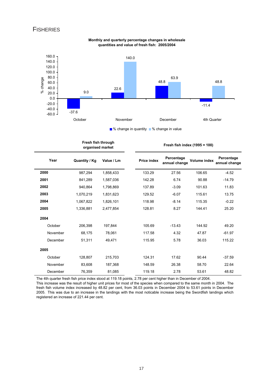## **FISHERIES**

![](_page_17_Figure_1.jpeg)

**Monthly and quarterly percentage changes in wholesale quantities and value of fresh fish: 2005/2004**

■% change in quantity ■% change in value

|          | Fresh fish through<br>organised market |            |                    | Fresh fish index $(1995 = 100)$ |                     |                             |
|----------|----------------------------------------|------------|--------------------|---------------------------------|---------------------|-----------------------------|
| Year     | <b>Quantity / Kg</b>                   | Value / Lm | <b>Price index</b> | Percentage<br>annual change     | <b>Volume index</b> | Percentage<br>annual change |
| 2000     | 987,294                                | 1,858,433  | 133.29             | 27.56                           | 106.65              | $-4.52$                     |
| 2001     | 841,289                                | 1,587,036  | 142.28             | 6.74                            | 90.88               | $-14.79$                    |
| 2002     | 940,864                                | 1,798,869  | 137.89             | $-3.09$                         | 101.63              | 11.83                       |
| 2003     | 1,070,219                              | 1,831,623  | 129.52             | $-6.07$                         | 115.61              | 13.75                       |
| 2004     | 1,067,822                              | 1,826,101  | 118.98             | $-8.14$                         | 115.35              | $-0.22$                     |
| 2005     | 1,336,881                              | 2,477,854  | 128.81             | 8.27                            | 144.41              | 25.20                       |
| 2004     |                                        |            |                    |                                 |                     |                             |
| October  | 206,398                                | 197,844    | 105.69             | $-13.43$                        | 144.92              | 49.20                       |
| November | 68,175                                 | 78,061     | 117.58             | 4.32                            | 47.87               | $-61.97$                    |
| December | 51,311                                 | 49,471     | 115.95             | 5.78                            | 36.03               | 115.22                      |
| 2005     |                                        |            |                    |                                 |                     |                             |
| October  | 128,807                                | 215,703    | 124.31             | 17.62                           | 90.44               | $-37.59$                    |
| November | 83,608                                 | 187,368    | 148.59             | 26.38                           | 58.70               | 22.64                       |
| December | 76,359                                 | 81,085     | 119.18             | 2.78                            | 53.61               | 48.82                       |

The 4th quarter fresh fish price index stood at 119.18 points, 2.78 per cent higher than in December of 2004.

This increase was the result of higher unit prices for most of the species when compared to the same month in 2004. The fresh fish volume index increased by 48.82 per cent, from 36.03 points in December 2004 to 53.61 points in December 2005. This was due to an increase in the landings with the most noticable increase being the Swordfish landings which registered an increase of 221.44 per cent.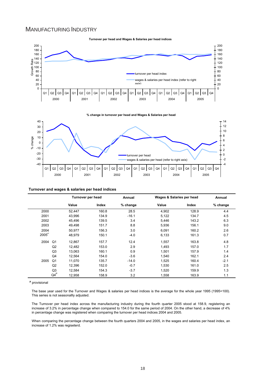## MANUFACTURING INDUSTRY

![](_page_18_Figure_1.jpeg)

**% change in turnover per head and Wages & Salaries per head** 

![](_page_18_Figure_3.jpeg)

#### **Turnover and wages & salaries per head indices**

|                   |                | Turnover per head |       | Annual     | Wages & Salaries per head |       | Annual   |  |
|-------------------|----------------|-------------------|-------|------------|---------------------------|-------|----------|--|
|                   |                | Value             | Index | $%$ change | Value                     | Index | % change |  |
| 2000              |                | 52.447            | 160.8 | 28.5       | 4,902                     | 128.9 | 4.4      |  |
| 2001              |                | 43,996            | 134.9 | $-16.1$    | 5,122                     | 134.7 | 4.5      |  |
| 2002              |                | 45.496            | 139.5 | 3.4        | 5,446                     | 143.2 | 6.3      |  |
| 2003              |                | 49,498            | 151.7 | 8.8        | 5,936                     | 156.1 | 9.0      |  |
| 2004              |                | 50,977            | 156.3 | 3.0        | 6,091                     | 160.2 | 2.6      |  |
| 2005 <sup>F</sup> |                | 48.979            | 150.1 | $-4.0$     | 6,133                     | 161.3 | 0.7      |  |
| 2004              | Q <sub>1</sub> | 12,867            | 157.7 | 12.4       | 1,557                     | 163.8 | 4.8      |  |
|                   | Q2             | 12.482            | 153.0 | 2.9        | 1.493                     | 157.0 | 1.7      |  |
|                   | Q3             | 13,063            | 160.1 | 0.9        | 1,501                     | 157.9 | 1.4      |  |
|                   | Q4             | 12.564            | 154.0 | $-3.6$     | 1.540                     | 162.1 | 2.4      |  |
| 2005              | Q <sub>1</sub> | 11.070            | 135.7 | $-14.0$    | 1,525                     | 160.4 | $-2.1$   |  |
|                   | Q2             | 12.396            | 152.0 | $-0.7$     | 1.530                     | 161.0 | 2.5      |  |
|                   | Q3             | 12,584            | 154.3 | $-3.7$     | 1,520                     | 159.9 | 1.3      |  |
|                   | $QA^P$         | 12,958            | 158.9 | 3.2        | 1,558                     | 163.9 | 1.1      |  |

**p** provisional

The base year used for the Turnover and Wages & salaries per head indices is the average for the whole year 1995 (1995=100). This series is not seasonallly adjusted.

The Turnover per head index across the manufacturing industry during the fourth quarter 2005 stood at 158.9, registering an increase of 3.2% in percentage change when compared to 154.0 for the same period of 2004. On the other hand, a decrease of 4% in percentage change was registered when comparing the turnover per head indices 2004 and 2005.

When comparing the percentage change between the fourth quarters 2004 and 2005, in the wages and salaries per head index, an increase of 1.2% was regiseterd.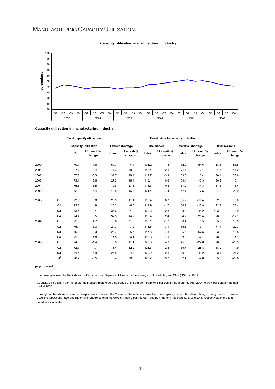# MANUFACTURING CAPACITY UTILISATION

![](_page_19_Figure_1.jpeg)

## **Capacity utilisation in manufacturing industry**

**Capacity utilisation in manufacturing industry**

|                |                | <b>Total capacity utilisation</b> |                             | Constraints to capacity utilisation |                      |       |                      |       |                          |               |                      |
|----------------|----------------|-----------------------------------|-----------------------------|-------------------------------------|----------------------|-------|----------------------|-------|--------------------------|---------------|----------------------|
|                |                |                                   | <b>Capacity utilisation</b> |                                     | Labour shortage      |       | The market           |       | <b>Material shortage</b> | Other reasons |                      |
|                |                | $\frac{9}{6}$                     | 12 month %<br>change        | Index                               | 12 month %<br>change | Index | 12 month %<br>change | Index | 12 month %<br>change     | Index         | 12 month %<br>change |
| 2000           |                | 70.1                              | 1.6                         | 59.7                                | 4.4                  | 101.2 | $-11.3$              | 72.9  | 64.6                     | 138.5         | 85.5                 |
| 2001           |                | 67.7                              | $-3.4$                      | 41.3                                | $-30.8$              | 113.4 | 12.1                 | 71.4  | $-2.1$                   | 81.4          | $-41.2$              |
| 2002           |                | 67.3                              | $-0.3$                      | 32.7                                | 16.4                 | 114.7 | $-3.3$               | 59.6  | 2.4                      | 86.1          | 28.6                 |
| 2003           |                | 73.1                              | 8.6                         | 27.3                                | $-16.4$              | 115.4 | 0.6                  | 59.4  | $-0.3$                   | 86.2          | 0.1                  |
| 2004           |                | 75.6                              | 3.5                         | 19.8                                | $-27.5$              | 116.3 | 0.8                  | 51.0  | $-14.3$                  | 81.5          | $-5.4$               |
| $2005^{\sf P}$ |                | 72.3                              | $-4.4$                      | 16.5                                | $-16.5$              | 121.4 | 4.4                  | 47.1  | $-7.5$                   | 64.5          | $-20.9$              |
| 2003           | Q <sub>1</sub> | 72.0                              | 5.8                         | 26.9                                | $-11.4$              | 116.4 | 0.7                  | 55.7  | $-19.4$                  | 82.0          | 5.0                  |
|                | Q2             | 72.5                              | 4.8                         | 26.2                                | $-6.6$               | 114.9 | $-1.7$               | 54.2  | $-15.9$                  | 92.2          | 23.4                 |
|                | Q3             | 73.4                              | 6.1                         | 34.6                                | $-1.0$               | 109.8 | $-2.3$               | 83.5  | 41.2                     | 103.8         | 5.9                  |
|                | Q4             | 74.4                              | 6.5                         | 32.3                                | $-14.2$              | 116.4 | 2.4                  | 54.7  | 20.4                     | 78.0          | $-17.1$              |
| 2004           | Q <sub>1</sub> | 75.3                              | 4.7                         | 18.6                                | $-31.0$              | 115.1 | $-1.2$               | 60.4  | 8.5                      | 95.5          | 16.5                 |
|                | Q2             | 76.4                              | 5.3                         | 24.3                                | $-7.2$               | 118.5 | 3.1                  | 55.8  | 3.1                      | 71.7          | $-22.3$              |
|                | Q3             | 75.0                              | 2.3                         | 25.7                                | $-25.7$              | 117.8 | 7.3                  | 35.5  | $-57.5$                  | 83.3          | $-19.8$              |
|                | Q <sub>4</sub> | 75.6                              | 1.6                         | 11.5                                | $-64.4$              | 119.3 | 1.1                  | 53.5  | $-2.1$                   | 78.8          | 1.1                  |
| 2005           | Q <sub>1</sub> | 74.3                              | $-1.4$                      | 16.5                                | $-11.1$              | 120.5 | 4.7                  | 45.6  | $-24.6$                  | 70.8          | $-25.9$              |
|                | Q2             | 72.7                              | $-4.7$                      | 16.4                                | $-32.2$              | 121.3 | 2.4                  | 39.7  | $-28.8$                  | 68.2          | $-4.9$               |
|                | Q <sub>3</sub> | 71.4                              | $-4.9$                      | 24.5                                | $-4.5$               | 120.2 | 2.1                  | 50.8  | 43.2                     | 63.1          | $-24.2$              |
|                | $Q4^P$         | 70.7                              | $-6.5$                      | 8.4                                 | $-26.5$              | 123.7 | 3.7                  | 52.4  | $-2.0$                   | 55.5          | $-29.6$              |

p= provisional

The base year used for the indices for Constraints to Capacity Utilisation is the average for the whole year 1995 ( 1995 = 100 )

Capacity utilisation in the manufaturing industry registered a decrease of 6.5 per cent from 75.6 per cent in the fourth quarter 2004 to 70.7 per cent for the sam period 2005.

Throughout the whole time series, respondents indicated the Market as the main constraint for their capacity under utilisation. Though during the fourth quarter 2005 the labour shortage and material shortage constraints were still being pointed out, yet they had only reached 1.7% and 2.4% respectively of the total constraints indicated .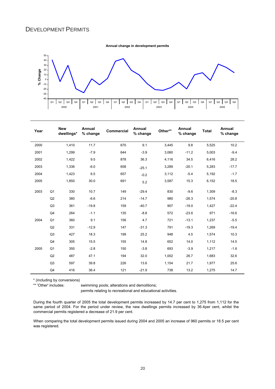**Annual change in development permits**

![](_page_20_Figure_2.jpeg)

| Year |                | <b>New</b><br>dwellings* | Annual<br>% change | <b>Commercial</b> | Annual<br>% change | Other** | Annual<br>% change | <b>Total</b> | Annual<br>% change |
|------|----------------|--------------------------|--------------------|-------------------|--------------------|---------|--------------------|--------------|--------------------|
| 2000 |                | 1,410                    | 11.7               | 670               | 9.1                | 3,445   | 9.8                | 5,525        | 10.2               |
| 2001 |                | 1,299                    | $-7.9$             | 644               | $-3.9$             | 3,060   | $-11.2$            | 5,003        | $-9.4$             |
| 2002 |                | 1,422                    | 9.5                | 878               | 36.3               | 4,116   | 34.5               | 6,416        | 28.2               |
| 2003 |                | 1,336                    | $-6.0$             | 658               | $-25.1$            | 3,289   | $-20.1$            | 5,283        | $-17.7$            |
| 2004 |                | 1,423                    | 6.5                | 657               | $-0.2$             | 3,112   | $-5.4$             | 5,192        | $-1.7$             |
| 2005 |                | 1,850                    | 30.0               | 691               | 5.2                | 3,587   | 15.3               | 6,152        | 18.5               |
| 2003 | Q <sub>1</sub> | 330                      | 10.7               | 149               | $-29.4$            | 830     | $-9.6$             | 1,309        | $-8.3$             |
|      | Q2             | 380                      | $-6.6$             | 214               | $-14.7$            | 980     | $-26.3$            | 1,574        | $-20.8$            |
|      | Q <sub>3</sub> | 361                      | $-19.8$            | 159               | $-40.7$            | 907     | $-19.0$            | 1,427        | $-22.4$            |
|      | Q <sub>4</sub> | 264                      | $-1.1$             | 135               | $-8.8$             | 572     | $-23.6$            | 971          | $-16.6$            |
| 2004 | Q <sub>1</sub> | 360                      | 9.1                | 156               | 4.7                | 721     | $-13.1$            | 1,237        | $-5.5$             |
|      | Q2             | 331                      | $-12.9$            | 147               | $-31.3$            | 791     | $-19.3$            | 1,269        | $-19.4$            |
|      | Q <sub>3</sub> | 427                      | 18.3               | 199               | 25.2               | 948     | 4.5                | 1,574        | 10.3               |
|      | Q <sub>4</sub> | 305                      | 15.5               | 155               | 14.8               | 652     | 14.0               | 1,112        | 14.5               |
| 2005 | Q <sub>1</sub> | 350                      | $-2.8$             | 150               | $-3.8$             | 693     | $-3.9$             | 1,217        | $-1.6$             |
|      | Q2             | 487                      | 47.1               | 194               | 32.0               | 1,002   | 26.7               | 1,683        | 32.6               |
|      | Q <sub>3</sub> | 597                      | 39.8               | 226               | 13.6               | 1,154   | 21.7               | 1,977        | 25.6               |
|      | Q <sub>4</sub> | 416                      | 36.4               | 121               | $-21.9$            | 738     | 13.2               | 1,275        | 14.7               |

\* (including by conversions)

swimming pools; alterations and demolitions;

permits relating to recreational and educational activities.

During the fourth quarter of 2005 the total development permits increased by 14.7 per cent to 1,275 from 1,112 for the same period of 2004. For the period under review, the new dwellings permits increased by 36.4per cent, whilst the commercial permits registered a decrease of 21.9 per cent.

When comparing the total development permits issued during 2004 and 2005 an increase of 960 permits or 18.5 per cent was registered.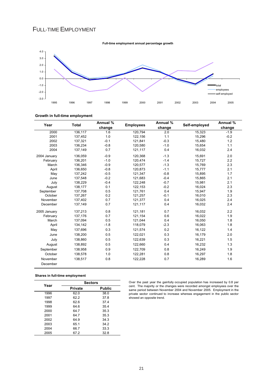# FULL-TIME EMPLOYMENT

![](_page_21_Figure_1.jpeg)

## **Growth in full-time employment**

| Year         | <b>Total</b> | Annual %<br>change | <b>Employees</b> | Annual %<br>change | Self-employed | Annual %<br>change |
|--------------|--------------|--------------------|------------------|--------------------|---------------|--------------------|
| 2000         | 136,117      | 1.6                | 120,794          | 2.0                | 15,323        | $-1.9$             |
| 2001         | 137,452      | 1.0                | 122,156          | 1.1                | 15,296        | $-0.2$             |
| 2002         | 137,321      | $-0.1$             | 121,841          | $-0.3$             | 15,480        | 1.2                |
| 2003         | 136,234      | $-0.8$             | 120,580          | $-1.0$             | 15,654        | 1.1                |
| 2004         | 137,149      | 0.7                | 121,117          | 0.4                | 16,032        | 2.4                |
| 2004 January | 136,059      | $-0.9$             | 120,368          | $-1.3$             | 15,691        | 2.0                |
| February     | 136,201      | $-1.0$             | 120,474          | $-1.4$             | 15,727        | 2.2                |
| March        | 136.346      | $-0.9$             | 120,577          | $-1.3$             | 15,769        | 2.3                |
| April        | 136,650      | $-0.8$             | 120,873          | $-1.1$             | 15,777        | 2.1                |
| May          | 137,242      | $-0.5$             | 121,347          | $-0.8$             | 15,895        | 1.7                |
| June         | 137,548      | $-0.2$             | 121,683          | $-0.4$             | 15,865        | 2.1                |
| July         | 138,229      | $-0.4$             | 122,248          | $-0.7$             | 15,981        | 2.1                |
| August       | 138,177      | 0.1                | 122,153          | $-0.2$             | 16,024        | 2.3                |
| September    | 137,708      | 0.5                | 121,761          | 0.4                | 15,947        | 1.9                |
| October      | 137,267      | 0.2                | 121,257          | $-0.1$             | 16,010        | 2.3                |
| November     | 137,402      | 0.7                | 121,377          | 0.4                | 16,025        | 2.4                |
| December     | 137,149      | 0.7                | 121,117          | 0.4                | 16,032        | 2.4                |
| 2005 January | 137,213      | 0.8                | 121,181          | 0.7                | 16,032        | 2.2                |
| February     | 137,176      | 0.7                | 121,154          | 0.6                | 16,022        | 1.9                |
| March        | 137,094      | 0.5                | 121,044          | 0.4                | 16,050        | 1.8                |
| April        | 134,142      | $-1.8$             | 118,079          | $-2.3$             | 16,063        | 1.8                |
| May          | 137,696      | 0.3                | 121,574          | 0.2                | 16,122        | 1.4                |
| June         | 138,200      | 0.5                | 122,021          | 0.3                | 16,179        | 2.0                |
| July         | 138,860      | 0.5                | 122,639          | 0.3                | 16,221        | 1.5                |
| August       | 138,892      | 0.5                | 122,660          | 0.4                | 16,232        | 1.3                |
| September    | 138,958      | 0.9                | 122,709          | 0.8                | 16,249        | 1.9                |
| October      | 138,578      | 1.0                | 122,281          | 0.8                | 16,297        | 1.8                |
| November     | 138,517      | 0.8                | 122,228          | 0.7                | 16,289        | 1.6                |
| December     |              |                    |                  |                    |               |                    |

**Shares in full-time employment**

| Year | <b>Sectors</b> |               |  |  |  |  |
|------|----------------|---------------|--|--|--|--|
|      | Private        | <b>Public</b> |  |  |  |  |
| 1996 | 62.0           | 38.0          |  |  |  |  |
| 1997 | 62.2           | 37.8          |  |  |  |  |
| 1998 | 62.6           | 37.4          |  |  |  |  |
| 1999 | 64.6           | 35.4          |  |  |  |  |
| 2000 | 64.7           | 35.3          |  |  |  |  |
| 2001 | 64.7           | 35.3          |  |  |  |  |
| 2002 | 64.9           | 34.3          |  |  |  |  |
| 2003 | 65.1           | 34.2          |  |  |  |  |
| 2004 | 66.7           | 33.3          |  |  |  |  |
| 2005 | 67.2           | 32.8          |  |  |  |  |

Over the past year the gainfully occupied population has increased by 0.8 per cent. The majority or the changes were recorded amongst employees over the same period between November 2004 and November 2005. Employment in the private sector continued to increase whereas engagement in the public sector showed an opposite trend.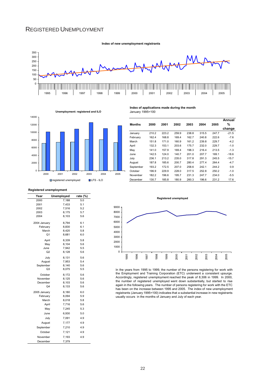## REGISTERED UNEMPLOYMENT

![](_page_22_Figure_1.jpeg)

**Index of new unemployment registrants**

![](_page_22_Figure_2.jpeg)

#### **Index of applications made during the month** January 1995=100

|               |       |       |       |       |       |       | Annual  |
|---------------|-------|-------|-------|-------|-------|-------|---------|
| <b>Months</b> | 2000  | 2001  | 2002  | 2003  | 2004  | 2005  | %       |
|               |       |       |       |       |       |       | change  |
| January       | 210.2 | 223.2 | 259.9 | 238.8 | 315.5 | 247.7 | $-21.5$ |
| February      | 162.4 | 168.8 | 169.4 | 162.7 | 240.8 | 222.6 | $-7.6$  |
| March         | 151.8 | 171.0 | 160.9 | 161.2 | 239.8 | 229.7 | $-4.2$  |
| April         | 132.3 | 153.1 | 203.6 | 175.7 | 232.0 | 229.7 | $-1.0$  |
| May           | 141.0 | 157.9 | 169.4 | 198.3 | 216.4 | 213.5 | $-1.3$  |
| June          | 142.5 | 124.0 | 140.7 | 201.0 | 207.7 | 169.1 | $-18.6$ |
| July          | 236.1 | 213.2 | 235.0 | 317.8 | 291.3 | 245.5 | $-15.7$ |
| August        | 187.8 | 185.6 | 200.7 | 280.4 | 277.4 | 264.4 | $-4.7$  |
| September     | 193.2 | 172.5 | 207.0 | 258.6 | 242.1 | 244.2 | 0.9     |
| October       | 196.9 | 229.9 | 228.0 | 317.5 | 252.8 | 250.2 | $-1.0$  |
| November      | 182.2 | 196.6 | 195.7 | 231.3 | 247.7 | 234.0 | $-5.5$  |
| December      | 130.7 | 185.8 | 180.9 | 260.3 | 196.6 | 231.2 | 17.6    |

## **Registered unemployment**

| Year           | <b>Unemployed</b> | rate (%) |
|----------------|-------------------|----------|
| 2000           | 7,188             | 5.0      |
| 2001           | 7,433             | 5.1      |
| 2002           | 7,516             | 5.2      |
| 2003           | 8,175             | 5.7      |
| 2004           | 8,103             | 5.6      |
| 2004 January   | 8,794             | 6.1      |
| February       | 8,830             | 6.1      |
| March          | 8,420             | 5.8      |
| Q <sub>1</sub> | 8,681             | 6.0      |
| April          | 8,339             | 5.8      |
| May            | 8,104             | 5.6      |
| June           | 7.942             | 5.5      |
| Q2             | 8,128             | 5.6      |
| July           | 8,131             | 5.6      |
| August         | 7,953             | 5.4      |
| September      | 8,140             | 5.6      |
| Q3             | 8,075             | 5.5      |
| October        | 8,172             | 5.6      |
| November       | 8,125             | 5.6      |
| December       | 8,103             | 5.6      |
| Q4             | 8,133             | 5.6      |
| 2005 January   | 8,180             | 6.0      |
| February       | 8,094             | 5.9      |
| March          | 8,018             | 5.8      |
| April          | 7,716             | 5.6      |
| May            | 7,245             | 5.3      |
| June           | 6,930             | 5.0      |
| July           | 7,091             | 4.9      |
| August         | 7,177             | 4.9      |
| September      | 7.210             | 4.9      |
| October        | 7,121             | 4.9      |
| November       | 7,193             | 4.9      |
| December       | 7,379             |          |

![](_page_22_Figure_7.jpeg)

In the years from 1995 to 1999, the number of the persons registering for work with the Employment and Training Corporation (ETC) underwent a consistent upsurge. Accordingly, registered unemployment reached the peak of 8,306 in 1999. In 2000, the number of registered unemployed went down substantially, but started to rise again in the following years. The number of persons registering for work with the ETC has been on the increase between 1995 and 2005. The index of new unemployment registrants (January 1995=100) indicates that a substantial increase in new registrants usually occurs in the months of January and July of each year.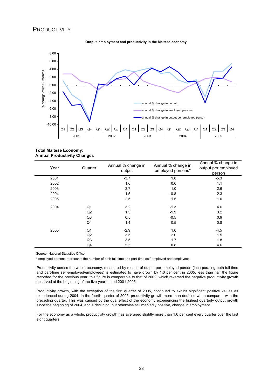## **PRODUCTIVITY**

![](_page_23_Figure_1.jpeg)

![](_page_23_Figure_2.jpeg)

**Total Maltese Economy: Annual Productivity Changes**

| Year | Quarter        | Annual % change in<br>output | Annual % change in<br>employed persons* | Annual % change in<br>output per employed<br>person |
|------|----------------|------------------------------|-----------------------------------------|-----------------------------------------------------|
| 2001 |                | $-3.7$                       | 1.8                                     | $-5.3$                                              |
| 2002 |                | 1.6                          | 0.6                                     | 1.1                                                 |
| 2003 |                | 3.7                          | 1.0                                     | 2.6                                                 |
| 2004 |                | 1.5                          | $-0.8$                                  | 2.3                                                 |
| 2005 |                | 2.5                          | 1.5                                     | 1.0                                                 |
| 2004 | Q1             | 3.2                          | $-1.3$                                  | 4.6                                                 |
|      | Q2             | 1.3                          | $-1.9$                                  | 3.2                                                 |
|      | Q3             | 0.5                          | $-0.5$                                  | 0.9                                                 |
|      | Q4             | 1.4                          | 0.5                                     | 0.8                                                 |
| 2005 | Q1             | $-2.9$                       | 1.6                                     | $-4.5$                                              |
|      | Q2             | 3.5                          | 2.0                                     | 1.5                                                 |
|      | Q <sub>3</sub> | 3.5                          | 1.7                                     | 1.8                                                 |
|      | Q4             | 5.5                          | 0.8                                     | 4.6                                                 |

Source: National Statistics Office

\* employed persons represents the number of both full-time and part-time self-employed and employees

Productivity across the whole economy, measured by means of output per employed person (incorporating both full-time and part-time self-employed/employees) is estimated to have grown by 1.0 per cent in 2005, less than half the figure recorded for the previous year; this figure is comparable to that of 2002, which reversed the negative productivity growth observed at the beginning of the five-year period 2001-2005.

Productivity growth, with the exception of the first quarter of 2005, continued to exhibit significant positive values as experienced during 2004. In the fourth quarter of 2005, productivity growth more than doubled when compared with the preceding quarter. This was caused by the dual effect of the economy experiencing the highest quarterly output growth since the beginning of 2004, and a declining, but otherwise still markedly positive, change in employment.

For the economy as a whole, productivity growth has averaged slightly more than 1.6 per cent every quarter over the last eight quarters.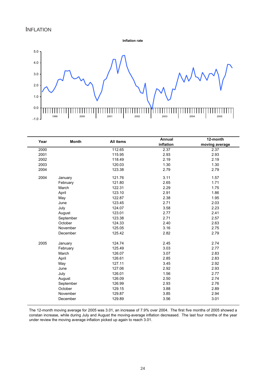**Inflation rate**

![](_page_24_Figure_2.jpeg)

| Year | <b>Month</b> | All items | Annual    | 12-month       |
|------|--------------|-----------|-----------|----------------|
|      |              |           | inflation | moving average |
| 2000 |              | 112.65    | 2.37      | 2.37           |
| 2001 |              | 115.95    | 2.93      | 2.93           |
| 2002 |              | 118.49    | 2.19      | 2.19           |
| 2003 |              | 120.03    | 1.30      | 1.30           |
| 2004 |              | 123.38    | 2.79      | 2.79           |
| 2004 | January      | 121.76    | 3.11      | 1.57           |
|      | February     | 121.80    | 2.65      | 1.71           |
|      | March        | 122.31    | 2.29      | 1.75           |
|      | April        | 123.10    | 2.91      | 1.86           |
|      | May          | 122.87    | 2.38      | 1.95           |
|      | June         | 123.45    | 2.71      | 2.03           |
|      | July         | 124.07    | 3.58      | 2.23           |
|      | August       | 123.01    | 2.77      | 2.41           |
|      | September    | 123.38    | 2.71      | 2.57           |
|      | October      | 124.33    | 2.40      | 2.63           |
|      | November     | 125.05    | 3.16      | 2.75           |
|      | December     | 125.42    | 2.82      | 2.79           |
| 2005 | January      | 124.74    | 2.45      | 2.74           |
|      | February     | 125.49    | 3.03      | 2.77           |
|      | March        | 126.07    | 3.07      | 2.83           |
|      | April        | 126.61    | 2.85      | 2.83           |
|      | May          | 127.11    | 3.45      | 2.92           |
|      | June         | 127.06    | 2.92      | 2.93           |
|      | July         | 126.01    | 1.56      | 2.77           |
|      | August       | 126.09    | 2.50      | 2.74           |
|      | September    | 126.99    | 2.93      | 2.76           |
|      | October      | 129.15    | 3.88      | 2.89           |
|      | November     | 129.87    | 3.85      | 2.94           |
|      | December     | 129.89    | 3.56      | 3.01           |

The 12-month moving average for 2005 was 3.01, an increase of 7.9% over 2004. The first five months of 2005 showed a constan increase, while during July and August the moving-average inflation decreased. The last four months of the year under review the moving average inflation picked up again to reach 3.01.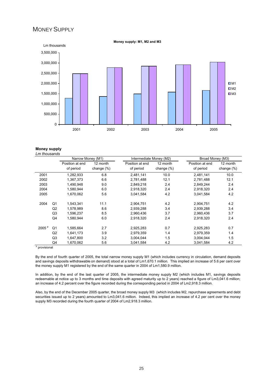## MONEY SUPPLY

![](_page_25_Figure_1.jpeg)

#### **Money supply** *Lm thousands*

|                   |                | Narrow Money (M1) |               | Intermediate Money (M2) |               | Broad Money (M3) |               |  |
|-------------------|----------------|-------------------|---------------|-------------------------|---------------|------------------|---------------|--|
|                   |                | Position at end   | 12 month      | Position at end         | 12 month      | Position at end  | 12 month      |  |
|                   |                | of period         | change $(\%)$ | of period               | change $(\%)$ | of period        | change $(\%)$ |  |
| 2001              |                | 1,282,933         | 6.8           | 2,481,141               | 10.0          | 2,481,141        | 10.0          |  |
| 2002              |                | 1.367.373         | 6.6           | 2.781.488               | 12.1          | 2.781.488        | 12.1          |  |
| 2003              |                | 1,490,948         | 9.0           | 2,849,218               | 2.4           | 2,849,244        | 2.4           |  |
| 2004              |                | 1,580,944         | 6.0           | 2,918,320               | 2.4           | 2,918,320        | 2.4           |  |
| 2005              |                | 1,670,062         | 5.6           | 3,041,584               | 4.2           | 3,041,584        | 4.2           |  |
| 2004              | Q <sub>1</sub> | 1,543,341         | 11.1          | 2,904,751               | 4.2           | 2,904,751        | 4.2           |  |
|                   | Q2             | 1,578,989         | 8.6           | 2,939,288               | 3.4           | 2,939,288        | 3.4           |  |
|                   | Q <sub>3</sub> | 1.596.237         | 8.5           | 2.960.436               | 3.7           | 2,960,436        | 3.7           |  |
|                   | Q4             | 1,580,944         | 6.0           | 2,918,320               | 2.4           | 2,918,320        | 2.4           |  |
| 2005 <sup>p</sup> | Q <sub>1</sub> | 1,585,664         | 2.7           | 2,925,283               | 0.7           | 2,925,283        | 0.7           |  |
|                   | Q2             | 1,641,173         | 3.9           | 2,979,359               | 1.4           | 2,979,359        | 1.4           |  |
|                   | Q <sub>3</sub> | 1,647,800         | 3.2           | 3.004.044               | 1.5           | 3,004,044        | 1.5           |  |
|                   | Q4             | 1,670,062         | 5.6           | 3,041,584               | 4.2           | 3,041,584        | 4.2           |  |

By the end of fourth quarter of 2005, the total narrow money supply M1 (which includes currency in circulation, demand deposits and savings deposits withdrawable on demand) stood at a total of Lm1,670.1 million. This implied an increase of 5.6 per cent over the money supply M1 registered by the end of the same quarter in 2004 of Lm1,580.9 million.

In addition, by the end of the last quarter of 2005, the intermediate money supply M2 (which includes M1, savings deposits redeemable at notice up to 3 months and time deposits with agreed maturity up to 2 years) reached a figure of Lm3,041.6 million; an increase of 4.2 percent over the figure recorded during the corresponding period in 2004 of Lm2,918.3 million.

Also, by the end of the December 2005 quarter, the broad money supply M3 (which includes M2, repurchase agreements and debt securities issued up to 2 years) amounted to Lm3,041.6 million. Indeed, this implied an increase of 4.2 per cent over the money supply M3 recorded during the fourth quarter of 2004 of Lm2,918.3 million.

25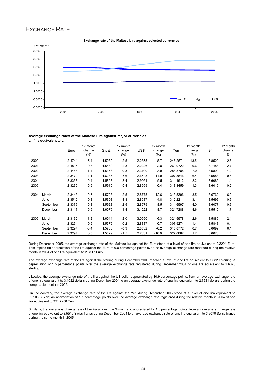# EXCHANGE RATE

![](_page_26_Figure_1.jpeg)

## **Exchange rate of the Maltese Lira against selected currencies**

#### **Average exchange rates of the Maltese Lira against major currencies** Lm1 is equivalent to..

|      |           | Euro   | 12 month<br>change<br>$(\%)$ | Stg £  | 12 month<br>change<br>$(\%)$ | US\$   | 12 month<br>change<br>$(\%)$ | Yen      | 12 month<br>change<br>$(\%)$ | Sfr    | 12 month<br>change<br>$(\%)$ |
|------|-----------|--------|------------------------------|--------|------------------------------|--------|------------------------------|----------|------------------------------|--------|------------------------------|
| 2000 |           | 2.4741 | 5.4                          | 1.5080 | $-2.5$                       | 2.2855 | $-8.7$                       | 246.2671 | $-13.5$                      | 3.8529 | 2.6                          |
| 2001 |           | 2.4815 | 0.3                          | 1.5430 | 2.3                          | 2.2226 | -2.8                         | 269.9722 | 9.6                          | 3.7488 | $-2.7$                       |
| 2002 |           | 2.4468 | $-1.4$                       | 1.5378 | $-0.3$                       | 2.3100 | 3.9                          | 288.8785 | 7.0                          | 3.5899 | $-4.2$                       |
| 2003 |           | 2.3470 | $-4.1$                       | 1.6237 | 5.6                          | 2.6543 | 14.9                         | 307.3846 | 6.4                          | 3.5683 | $-0.6$                       |
| 2004 |           | 2.3368 | $-0.4$                       | 1.5853 | $-2.4$                       | 2.9061 | 9.5                          | 314.1912 | 2.2                          | 3.6085 | 1.1                          |
| 2005 |           | 2.3260 | $-0.5$                       | 1.5910 | 0.4                          | 2.8959 | $-0.4$                       | 318.3459 | 1.3                          | 3.6015 | $-0.2$                       |
| 2004 | March     | 2.3443 | $-0.7$                       | 1.5723 | $-2.5$                       | 2.8775 | 12.6                         | 313.5396 | 3.5                          | 3.6762 | 6.0                          |
|      | June      | 2.3512 | 0.8                          | 1.5608 | $-4.8$                       | 2.8537 | 4.8                          | 312.2211 | $-3.1$                       | 3.5696 | $-0.6$                       |
|      | September | 2.3379 | $-0.3$                       | 1.5928 | $-2.5$                       | 2.8579 | 8.5                          | 314.6597 | 4.0                          | 3.6077 | $-0.6$                       |
|      | December  | 2.3117 | $-0.5$                       | 1.6075 | $-1.4$                       | 3.1022 | 8.7                          | 321.7288 | 4.6                          | 3.5510 | $-1.7$                       |
| 2005 | March     | 2.3162 | $-1.2$                       | 1.6044 | 2.0                          | 3.0590 | 6.3                          | 321.5978 | 2.6                          | 3.5885 | $-2.4$                       |
|      | June      | 2.3294 | $-0.9$                       | 1.5579 | $-0.2$                       | 2.8337 | $-0.7$                       | 307.9274 | $-1.4$                       | 3.5848 | 0.4                          |
|      | September | 2.3294 | $-0.4$                       | 1.5788 | $-0.9$                       | 2.8532 | $-0.2$                       | 316.8772 | 0.7                          | 3.6099 | 0.1                          |
|      | December  | 2.3294 | 0.8                          | 1.5829 | $-1.5$                       | 2.7631 | $-10.9$                      | 327.0887 | 1.7                          | 3.6070 | 1.6                          |

During December 2005, the average exchange rate of the Maltese lira against the Euro stood at a level of one lira equivalent to 2.3294 Euro. This implied an appreciation of the lira against the Euro of 0.8 percentage points over the average exchange rate recorded during the relative month in 2004 of one lira equivalent to 2.3117 Euro.

The average exchange rate of the lira against the sterling during December 2005 reached a level of one lira equivalent to 1.5829 sterling; a depreciation of 1.5 percentage points over the average exchange rate registered during December 2004 of one lira equivalent to 1.6075 sterling.

Likewise, the average exchange rate of the lira against the US dollar depreciated by 10.9 percentage points, from an average exchange rate of one lira equivalent to 3.1022 dollars during December 2004 to an average exchange rate of one lira equivalent to 2.7631 dollars during the comparable month in 2005.

On the contrary, the average exchange rate of the lira against the Yen during December 2005 stood at a level of one lira equivalent to 327.0887 Yen; an appreciation of 1.7 percentage points over the average exchange rate registered during the relative month in 2004 of one lira equivalent to 321.7288 Yen.

Similarly, the average exchange rate of the lira against the Swiss franc appreciated by 1.6 percentage points, from an average exchange rate of one lira equivalent to 3.5510 Swiss francs during December 2004 to an average exchange rate of one lira equivalent to 3.6070 Swiss francs during the same month in 2005.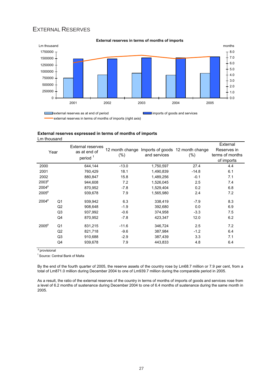# EXTERNAL RESERVES

![](_page_27_Figure_1.jpeg)

## **External reserves expressed in terms of months of imports** Lm thousand

| Year              |                | <b>External reserves</b><br>as at end of<br>period <sup>1</sup> | 12 month change<br>$(\%)$ | and services | Imports of goods 12 month change<br>$(\%)$ | External<br>Reserves in<br>terms of months<br>of imports |
|-------------------|----------------|-----------------------------------------------------------------|---------------------------|--------------|--------------------------------------------|----------------------------------------------------------|
| 2000              |                | 644,144                                                         | $-13.0$                   | 1,750,597    | 27.4                                       | 4.4                                                      |
| 2001              |                | 760,429                                                         | 18.1                      | 1,490,839    | $-14.8$                                    | 6.1                                                      |
| 2002              |                | 880,847                                                         | 15.8                      | 1,489,256    | $-0.1$                                     | 7.1                                                      |
| 2003 <sup>p</sup> |                | 944,608                                                         | 7.2                       | 1,526,045    | 2.5                                        | 7.4                                                      |
| 2004 <sup>p</sup> |                | 870,952                                                         | $-7.8$                    | 1,529,404    | 0.2                                        | 6.8                                                      |
| $2005^p$          |                | 939,678                                                         | 7.9                       | 1,565,980    | 2.4                                        | 7.2                                                      |
| 2004 <sup>p</sup> | Q <sub>1</sub> | 939,942                                                         | 6.3                       | 338,419      | $-7.9$                                     | 8.3                                                      |
|                   | Q2             | 908,648                                                         | $-1.9$                    | 392,680      | 0.0                                        | 6.9                                                      |
|                   | Q3             | 937,992                                                         | $-0.6$                    | 374,958      | $-3.3$                                     | 7.5                                                      |
|                   | Q4             | 870.952                                                         | $-7.8$                    | 423,347      | 12.0                                       | 6.2                                                      |
| 2005 <sup>p</sup> | Q <sub>1</sub> | 831,215                                                         | $-11.6$                   | 346,724      | 2.5                                        | 7.2                                                      |
|                   | Q2             | 821,718                                                         | $-9.6$                    | 387,984      | $-1.2$                                     | 6.4                                                      |
|                   | Q <sub>3</sub> | 910,688                                                         | $-2.9$                    | 387,439      | 3.3                                        | 7.1                                                      |
|                   | Q4             | 939,678                                                         | 7.9                       | 443,833      | 4.8                                        | 6.4                                                      |

<sup>p</sup> provisional

1 Source: Central Bank of Malta

By the end of the fourth quarter of 2005, the reserve assets of the country rose by Lm68.7 million or 7.9 per cent, from a total of Lm871.0 million during December 2004 to one of Lm939.7 million during the comparable period in 2005.

As a result, the ratio of the external reserves of the country in terms of months of imports of goods and services rose from a level of 6.2 months of sustenance during December 2004 to one of 6.4 months of sustenance during the same month in 2005.